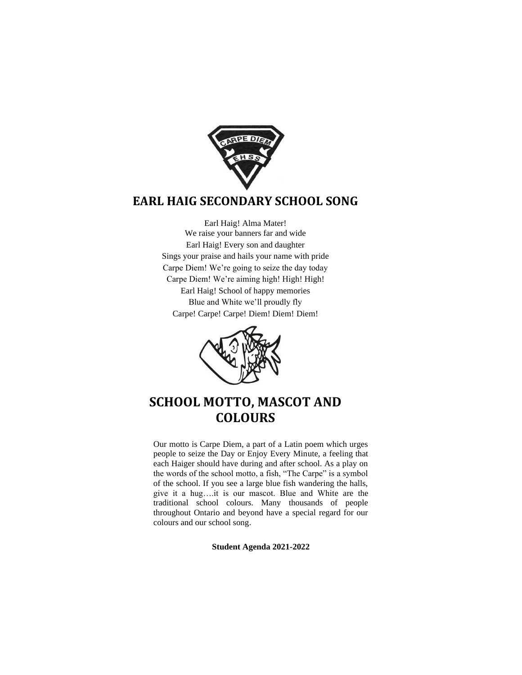

# **EARL HAIG SECONDARY SCHOOL SONG**

Earl Haig! Alma Mater! We raise your banners far and wide Earl Haig! Every son and daughter Sings your praise and hails your name with pride Carpe Diem! We're going to seize the day today Carpe Diem! We're aiming high! High! High! Earl Haig! School of happy memories Blue and White we'll proudly fly Carpe! Carpe! Carpe! Diem! Diem! Diem!



# **SCHOOL MOTTO, MASCOT AND COLOURS**

Our motto is Carpe Diem, a part of a Latin poem which urges people to seize the Day or Enjoy Every Minute, a feeling that each Haiger should have during and after school. As a play on the words of the school motto, a fish, "The Carpe" is a symbol of the school. If you see a large blue fish wandering the halls, give it a hug….it is our mascot. Blue and White are the traditional school colours. Many thousands of people throughout Ontario and beyond have a special regard for our colours and our school song.

**Student Agenda 2021-2022**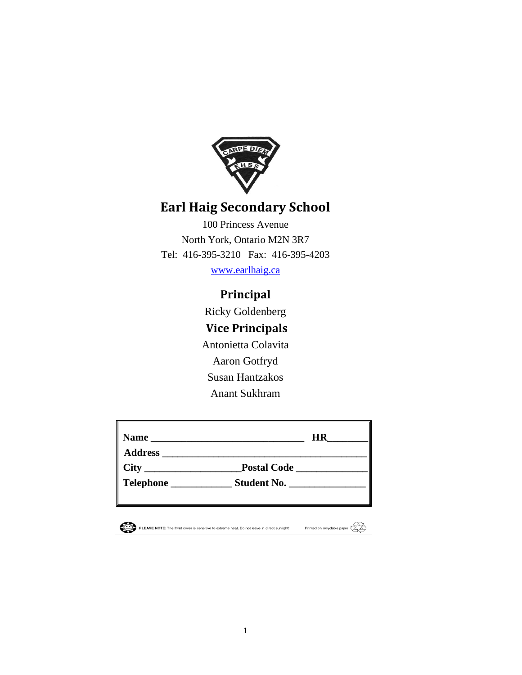

# **Earl Haig Secondary School**

100 Princess Avenue North York, Ontario M2N 3R7 Tel: 416-395-3210 Fax: 416-395-4203

[www.earlhaig.ca](http://www.earlhaig.ca/) 

# **Principal**

Ricky Goldenberg **Vice Principals** Antonietta Colavita Aaron Gotfryd Susan Hantzakos Anant Sukhram

| <b>Name</b>                                                                                                                         | <b>HR</b>                                                                                                                                  |
|-------------------------------------------------------------------------------------------------------------------------------------|--------------------------------------------------------------------------------------------------------------------------------------------|
| <b>City</b><br><u> 1980 - Jan James James, politik eta politik eta politik eta politik eta politik eta politik eta politik eta </u> | <b>Postal Code</b><br><u> 1989 - Jan Stein Stein Stein Stein Stein Stein Stein Stein Stein Stein Stein Stein Stein Stein Stein Stein S</u> |
| <b>Telephone</b>                                                                                                                    | Student No.                                                                                                                                |
|                                                                                                                                     |                                                                                                                                            |

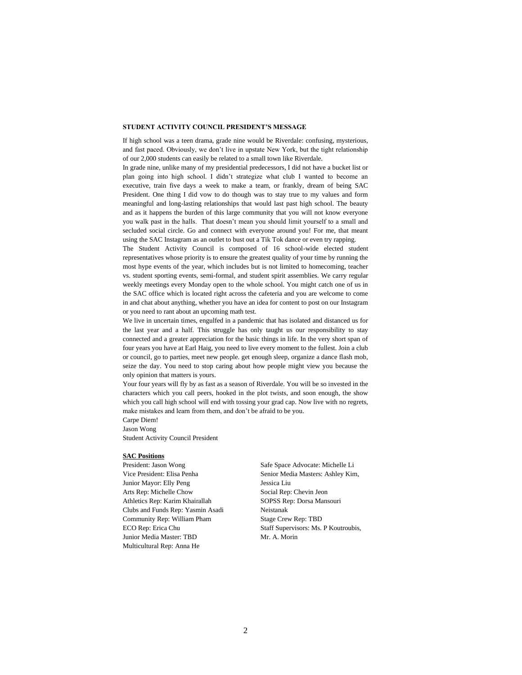#### **STUDENT ACTIVITY COUNCIL PRESIDENT'S MESSAGE**

If high school was a teen drama, grade nine would be Riverdale: confusing, mysterious, and fast paced. Obviously, we don't live in upstate New York, but the tight relationship of our 2,000 students can easily be related to a small town like Riverdale.

In grade nine, unlike many of my presidential predecessors, I did not have a bucket list or plan going into high school. I didn't strategize what club I wanted to become an executive, train five days a week to make a team, or frankly, dream of being SAC President. One thing I did vow to do though was to stay true to my values and form meaningful and long-lasting relationships that would last past high school. The beauty and as it happens the burden of this large community that you will not know everyone you walk past in the halls. That doesn't mean you should limit yourself to a small and secluded social circle. Go and connect with everyone around you! For me, that meant using the SAC Instagram as an outlet to bust out a Tik Tok dance or even try rapping.

The Student Activity Council is composed of 16 school-wide elected student representatives whose priority is to ensure the greatest quality of your time by running the most hype events of the year, which includes but is not limited to homecoming, teacher vs. student sporting events, semi-formal, and student spirit assemblies. We carry regular weekly meetings every Monday open to the whole school. You might catch one of us in the SAC office which is located right across the cafeteria and you are welcome to come in and chat about anything, whether you have an idea for content to post on our Instagram or you need to rant about an upcoming math test.

We live in uncertain times, engulfed in a pandemic that has isolated and distanced us for the last year and a half. This struggle has only taught us our responsibility to stay connected and a greater appreciation for the basic things in life. In the very short span of four years you have at Earl Haig, you need to live every moment to the fullest. Join a club or council, go to parties, meet new people. get enough sleep, organize a dance flash mob, seize the day. You need to stop caring about how people might view you because the only opinion that matters is yours.

Your four years will fly by as fast as a season of Riverdale. You will be so invested in the characters which you call peers, hooked in the plot twists, and soon enough, the show which you call high school will end with tossing your grad cap. Now live with no regrets, make mistakes and learn from them, and don't be afraid to be you.

Carpe Diem! Jason Wong Student Activity Council President

#### **SAC Positions**

President: Jason Wong Vice President: Elisa Penha Junior Mayor: Elly Peng Arts Rep: Michelle Chow Athletics Rep: Karim Khairallah Clubs and Funds Rep: Yasmin Asadi Community Rep: William Pham ECO Rep: Erica Chu Junior Media Master: TBD Multicultural Rep: Anna He

Safe Space Advocate: Michelle Li Senior Media Masters: Ashley Kim, Jessica Liu Social Rep: Chevin Jeon SOPSS Rep: Dorsa Mansouri Neistanak Stage Crew Rep: TBD Staff Supervisors: Ms. P Koutroubis, Mr. A. Morin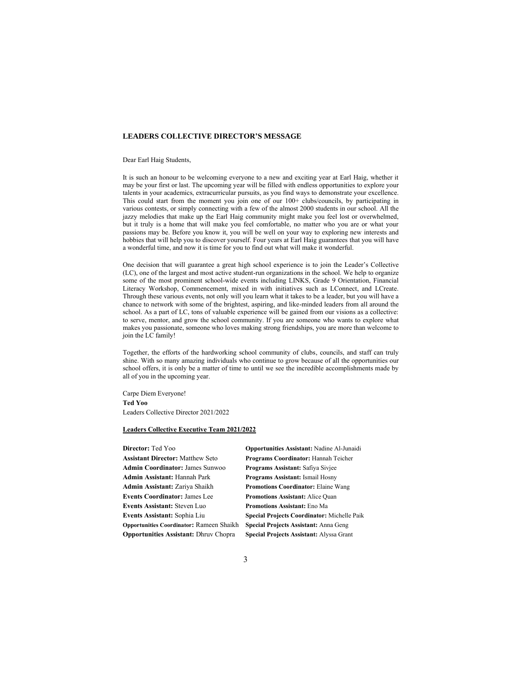## **LEADERS COLLECTIVE DIRECTOR'S MESSAGE**

Dear Earl Haig Students,

It is such an honour to be welcoming everyone to a new and exciting year at Earl Haig, whether it may be your first or last. The upcoming year will be filled with endless opportunities to explore your talents in your academics, extracurricular pursuits, as you find ways to demonstrate your excellence. This could start from the moment you join one of our 100+ clubs/councils, by participating in various contests, or simply connecting with a few of the almost 2000 students in our school. All the jazzy melodies that make up the Earl Haig community might make you feel lost or overwhelmed, but it truly is a home that will make you feel comfortable, no matter who you are or what your passions may be. Before you know it, you will be well on your way to exploring new interests and hobbies that will help you to discover yourself. Four years at Earl Haig guarantees that you will have a wonderful time, and now it is time for you to find out what will make it wonderful.

One decision that will guarantee a great high school experience is to join the Leader's Collective (LC), one of the largest and most active student-run organizations in the school. We help to organize some of the most prominent school-wide events including LINKS, Grade 9 Orientation, Financial Literacy Workshop, Commencement, mixed in with initiatives such as LConnect, and LCreate. Through these various events, not only will you learn what it takes to be a leader, but you will have a chance to network with some of the brightest, aspiring, and like-minded leaders from all around the school. As a part of LC, tons of valuable experience will be gained from our visions as a collective: to serve, mentor, and grow the school community. If you are someone who wants to explore what makes you passionate, someone who loves making strong friendships, you are more than welcome to join the LC family!

Together, the efforts of the hardworking school community of clubs, councils, and staff can truly shine. With so many amazing individuals who continue to grow because of all the opportunities our school offers, it is only be a matter of time to until we see the incredible accomplishments made by all of you in the upcoming year.

Carpe Diem Everyone! **Ted Yoo** Leaders Collective Director 2021/2022

#### **Leaders Collective Executive Team 2021/2022**

**Director:** Ted Yoo **Opportunities Assistant:** Nadine Al-Junaidi **Assistant Director:** Matthew Seto **Programs Coordinator:** Hannah Teicher **Admin Coordinator:** James Sunwoo **Programs Assistant:** Safiya Sivjee **Admin Assistant:** Hannah Park **Programs Assistant:** Ismail Hosny **Admin Assistant:** Zariya Shaikh **Promotions Coordinator:** Elaine Wang **Events Coordinator:** James Lee **Promotions Assistant:** Alice Quan **Events Assistant:** Steven Luo **Promotions Assistant:** Eno Ma **Opportunities Coordinator:** Rameen Shaikh **Special Projects Assistant:** Anna Geng **Opportunities Assistant:** Dhruv Chopra **Special Projects Assistant:** Alyssa Grant

**Events Assistant:** Sophia Liu **Special Projects Coordinator:** Michelle Paik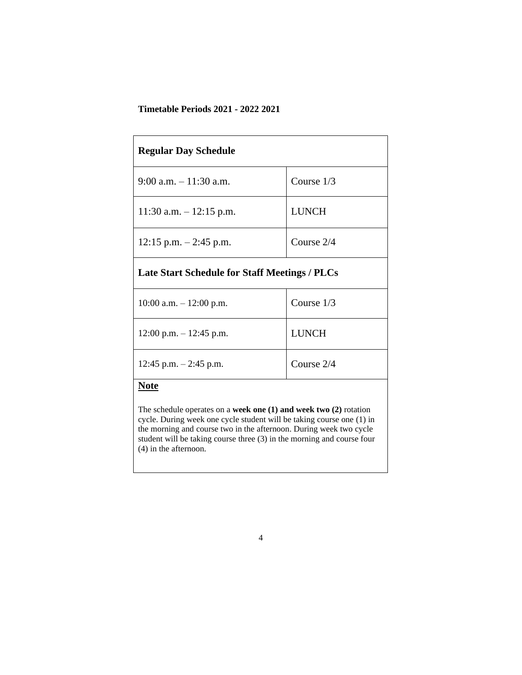# **Timetable Periods 2021 - 2022 2021**

| <b>Regular Day Schedule</b>                          |              |
|------------------------------------------------------|--------------|
| $9:00$ a.m. $-11:30$ a.m.                            | Course $1/3$ |
| 11:30 a.m. $-12:15$ p.m.                             | <b>LUNCH</b> |
| $12:15$ p.m. $-2:45$ p.m.                            | Course 2/4   |
| <b>Late Start Schedule for Staff Meetings / PLCs</b> |              |
| $10:00$ a.m. $-12:00$ p.m.                           | Course $1/3$ |
| $12:00$ p.m. $-12:45$ p.m.                           | <b>LUNCH</b> |
| 12:45 p.m. $-$ 2:45 p.m.                             | Course 2/4   |
| Note                                                 |              |

The schedule operates on a **week one (1) and week two (2)** rotation cycle. During week one cycle student will be taking course one (1) in the morning and course two in the afternoon. During week two cycle student will be taking course three (3) in the morning and course four (4) in the afternoon.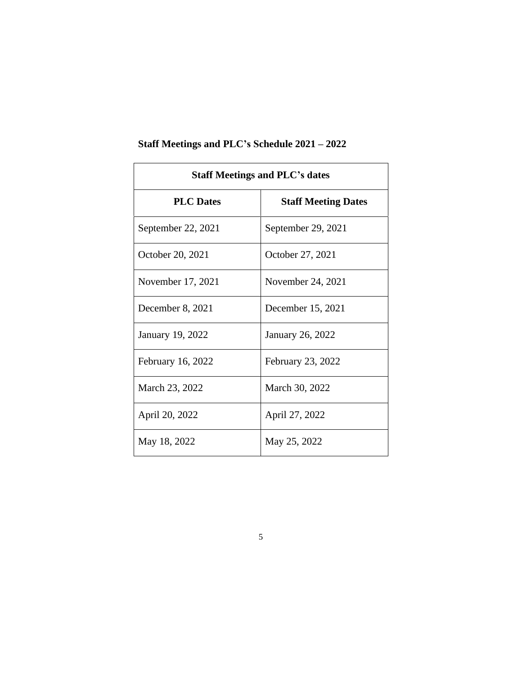| <b>Staff Meetings and PLC's dates</b> |                            |  |  |  |  |  |  |  |
|---------------------------------------|----------------------------|--|--|--|--|--|--|--|
| <b>PLC</b> Dates                      | <b>Staff Meeting Dates</b> |  |  |  |  |  |  |  |
| September 22, 2021                    | September 29, 2021         |  |  |  |  |  |  |  |
| October 20, 2021                      | October 27, 2021           |  |  |  |  |  |  |  |
| November 17, 2021                     | November 24, 2021          |  |  |  |  |  |  |  |
| December 8, 2021                      | December 15, 2021          |  |  |  |  |  |  |  |
| January 19, 2022                      | <b>January 26, 2022</b>    |  |  |  |  |  |  |  |
| February 16, 2022                     | February 23, 2022          |  |  |  |  |  |  |  |
| March 23, 2022                        | March 30, 2022             |  |  |  |  |  |  |  |
| April 20, 2022                        | April 27, 2022             |  |  |  |  |  |  |  |
| May 18, 2022                          | May 25, 2022               |  |  |  |  |  |  |  |

# **Staff Meetings and PLC's Schedule 2021 – 2022**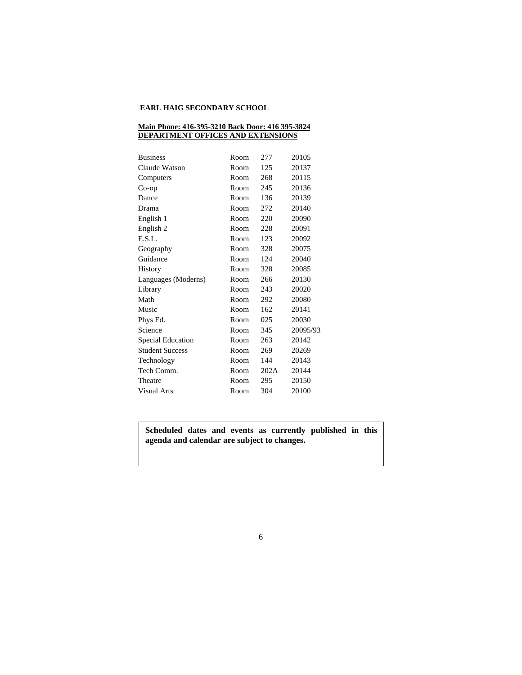## **EARL HAIG SECONDARY SCHOOL**

#### **Main Phone: 416-395-3210 Back Door: 416 395-3824 DEPARTMENT OFFICES AND EXTENSIONS**

| <b>Business</b>        | Room | 277  | 20105    |
|------------------------|------|------|----------|
| Claude Watson          | Room | 125  | 20137    |
| Computers              | Room | 268  | 20115    |
| $Co$ -op               | Room | 245  | 20136    |
| Dance                  | Room | 136  | 20139    |
| Drama                  | Room | 272  | 20140    |
| English 1              | Room | 220  | 20090    |
| English 2              | Room | 228  | 20091    |
| E.S.L.                 | Room | 123  | 20092    |
| Geography              | Room | 328  | 20075    |
| Guidance               | Room | 124  | 20040    |
| History                | Room | 328  | 20085    |
| Languages (Moderns)    | Room | 266  | 20130    |
| Library                | Room | 243  | 20020    |
| Math                   | Room | 292  | 20080    |
| Music                  | Room | 162  | 20141    |
| Phys Ed.               | Room | 025  | 20030    |
| Science                | Room | 345  | 20095/93 |
| Special Education      | Room | 263  | 20142    |
| <b>Student Success</b> | Room | 269  | 20269    |
| Technology             | Room | 144  | 20143    |
| Tech Comm.             | Room | 202A | 20144    |
| Theatre                | Room | 295  | 20150    |
| Visual Arts            | Room | 304  | 20100    |

# **Scheduled dates and events as currently published in this agenda and calendar are subject to changes.**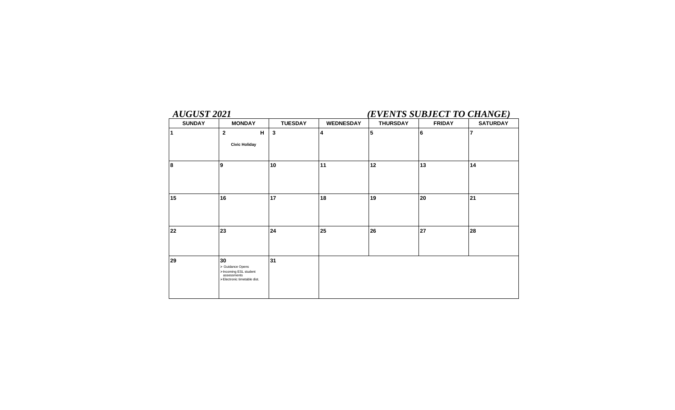# *AUGUST 2021 (EVENTS SUBJECT TO CHANGE)*

| <b>SUNDAY</b> | <b>MONDAY</b>                                                                                 | <b>TUESDAY</b> | <b>WEDNESDAY</b> | <b>THURSDAY</b> | <b>FRIDAY</b>  | <b>SATURDAY</b> |
|---------------|-----------------------------------------------------------------------------------------------|----------------|------------------|-----------------|----------------|-----------------|
| 1             | $\mathbf{2}$<br>н<br><b>Civic Holiday</b>                                                     | $\mathbf{3}$   | 4                | 5               | $6\phantom{a}$ | $\overline{7}$  |
| 8             | 9                                                                                             | 10             | 11               | 12              | 13             | 14              |
| 15            | 16                                                                                            | 17             | 18               | 19              | 20             | 21              |
| 22            | 23                                                                                            | 24             | 25               | 26              | 27             | 28              |
| 29            | 30<br>> Guidance Opens<br>>Incoming ESL student<br>assessments<br>>Electronic timetable dist. | 31             |                  |                 |                |                 |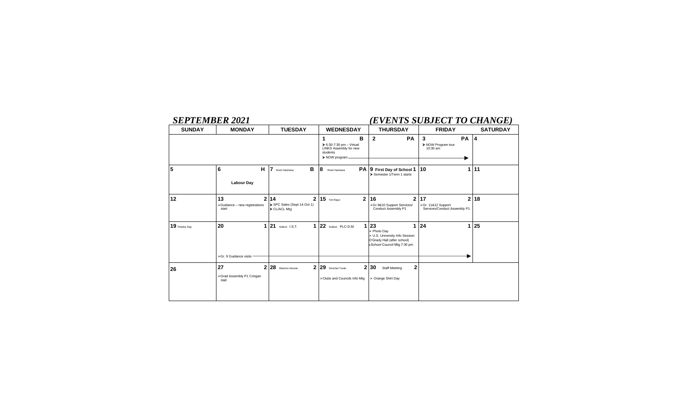# *SEPTEMBER 2021 (EVENTS SUBJECT TO CHANGE)*

| <b>SUNDAY</b> | <b>MONDAY</b>                                | <b>TUESDAY</b>                                                    | <b>WEDNESDAY</b>                                                                                           | <b>THURSDAY</b>                                                                                                          | <b>FRIDAY</b>                                                            | <b>SATURDAY</b> |
|---------------|----------------------------------------------|-------------------------------------------------------------------|------------------------------------------------------------------------------------------------------------|--------------------------------------------------------------------------------------------------------------------------|--------------------------------------------------------------------------|-----------------|
|               |                                              |                                                                   | в<br>1<br>$\triangleright$ 6:30-7:30 pm - Virtual<br>LINKS Assembly for new<br>students<br>> NOW program - | $\mathbf{2}$<br><b>PA</b>                                                                                                | 3<br><b>PA 4</b><br>> NOW Program tour<br>10:30 am                       |                 |
| 5             | 6<br>н<br><b>Labour Day</b>                  | B<br>7<br>Rosh Hashana                                            | 8<br>Rosh Hashana                                                                                          | PA 9 First Day of School 1<br>Semester 1/Term 1 starts                                                                   | 10<br>1 <sup>1</sup>                                                     | 11              |
| 12            | 13<br>>Guidance - new registrations<br>start | $\mathbf{2}$<br>2 14<br>> SPC Sales (Sept 14-Oct 1)<br>CL/ACL Mtg | $\overline{2}$<br>$15$ Yom Kippur                                                                          | 16<br>$\mathbf{2}$<br>>Gr.9&10 Support Services/<br>Conduct Assembly P1                                                  | 17<br>$\mathbf{2}$<br>>Gr. 11&12 Support<br>Services/Conduct Assembly P1 | 18              |
| 19 Powley Day | 20<br>1<br>>Gr. 9 Guidance visits            | 21 Sukkot I.S.T.<br>1                                             | 22 Sukkot PLC-D.M.                                                                                         | 1 23<br>1<br>> Photo Day<br>> U.S. University Info Session<br>O'Grady Hall (after school)<br>>School Council Mtg 7:30 pm | 24<br>1.                                                                 | 25              |
|               |                                              |                                                                   |                                                                                                            |                                                                                                                          |                                                                          |                 |
| 26            | 27<br>>Grad Assembly P1 Cringan<br>Hall      | 2 28 Shemini Atzeret<br>2 <sub>1</sub>                            | 29 Simchat Torah<br>>Clubs and Councils Info Mtg                                                           | $\mathbf 2$<br>2 30<br><b>Staff Meeting</b><br>> Orange Shirt Day                                                        |                                                                          |                 |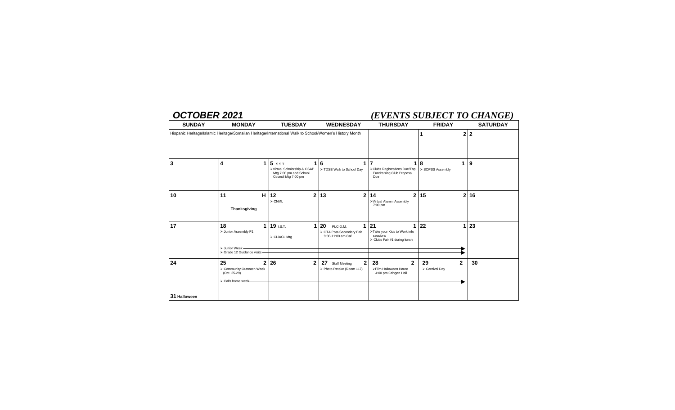# *OCTOBER 2021 (EVENTS SUBJECT TO CHANGE)*

| <b>SUNDAY</b> | <b>MONDAY</b>                                                                                           | <b>TUESDAY</b>                                                                           | <b>WEDNESDAY</b>                                                      | <b>THURSDAY</b>                                                                | <b>FRIDAY</b>                        | <b>SATURDAY</b> |
|---------------|---------------------------------------------------------------------------------------------------------|------------------------------------------------------------------------------------------|-----------------------------------------------------------------------|--------------------------------------------------------------------------------|--------------------------------------|-----------------|
|               | Hispanic Heritage/Islamic Heritage/Somalian Heritage/International Walk to School/Women's History Month |                                                                                          |                                                                       |                                                                                |                                      | 2 2             |
| 3             | 4<br>1                                                                                                  | 5 S.S.T.<br>>Virtual Scholarship & OSAP<br>Mtg 7:00 pm and School<br>Council Mtg 7:00 pm | $1\vert 6$<br>> TDSB Walk to School Day                               | >Clubs Registrations Due/Top<br>Fundraising Club Proposal<br>Due               | 8<br>1<br>> SOPSS Assembly           | 9               |
| 10            | н<br>11<br>Thanksgiving                                                                                 | $\overline{2}$<br>12<br>$\triangleright$ CNML                                            | 13<br>$\overline{2}$                                                  | 14<br>2<br>>Virtual Alumni Assembly<br>7:00 pm                                 | 15                                   | 2 16            |
| 17            | 18<br>1<br>> Junior Assembly P1<br>> Junior Week -<br>> Grade 12 Guidance visits -                      | 19 I.S.T.<br>1<br>> CL/ACL Mtg                                                           | 20<br>1<br>PLC-D.M.<br>> GTA Post-Secondary Fair<br>9:00-11:00 am Caf | 21<br>>Take your Kids to Work info<br>sessions<br>> Clubs Fair #1 during lunch | 22<br>1                              | 23              |
| 24            | 25<br>$\overline{2}$<br>> Community Outreach Week<br>(Oct. 25-29)<br>> Calls home week-                 | 26<br>$\mathbf{2}$                                                                       | 2<br>27<br><b>Staff Meeting</b><br>> Photo Retake (Room 117)          | $\mathbf{2}$<br>28<br>>Film Halloween Haunt<br>4:00 pm Cringan Hall            | 29<br>$\mathbf{2}$<br>> Carnival Day | 30              |
| 31 Halloween  |                                                                                                         |                                                                                          |                                                                       |                                                                                |                                      |                 |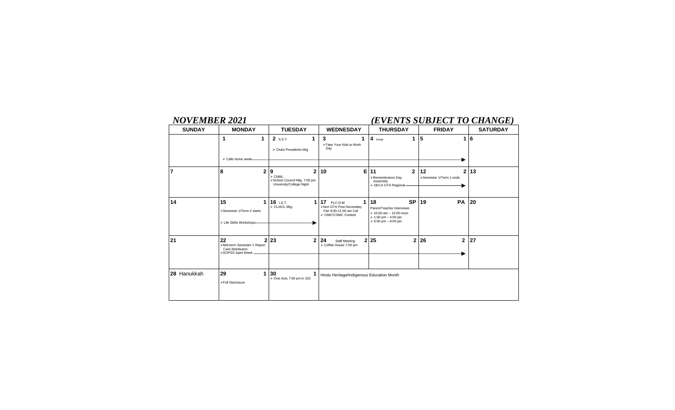# *NOVEMBER 2021 (EVENTS SUBJECT TO CHANGE)*

| <b>SUNDAY</b> | <b>MONDAY</b>                                                                  | <b>TUESDAY</b>                                                                                         | <b>WEDNESDAY</b>                                                                                | <b>THURSDAY</b>                                                                                                                                     | <b>FRIDAY</b>                                   | <b>SATURDAY</b> |
|---------------|--------------------------------------------------------------------------------|--------------------------------------------------------------------------------------------------------|-------------------------------------------------------------------------------------------------|-----------------------------------------------------------------------------------------------------------------------------------------------------|-------------------------------------------------|-----------------|
|               | 1<br>1<br>> Calls home week-                                                   | 2 S.S.T.<br>> Clubs Presidents Mtg                                                                     | 3<br>1<br>>Take Your Kids to Work<br>Day                                                        | $\overline{4}$<br>1<br>Diwali                                                                                                                       | ${\bf 5}$<br>1                                  | 16              |
| 7             | 8<br>$\mathbf{2}$                                                              | $\mathbf{2}$<br>9<br>$\triangleright$ CNML<br>>School Council Mtg. 7:00 pm<br>University/College Night | 10<br>Е                                                                                         | 11<br>$\mathbf{2}$<br>>Remembrance Day<br>Assembly<br>> DECA GTA Regional                                                                           | 12<br>$\overline{2}$<br>>Semester 1/Term 1 ends | 13              |
| 14            | 15<br>1<br>>Semester 1/Term 2 starts<br>> Life Skills Workshops-               | 16 I.S.T.<br>1<br>> CL/ACL Mtg.                                                                        | 17<br>1<br>PLC-D.M.<br>>Non GTA Post-Secondary<br>Fair 9:00-11:00 am Caf<br>> CIMC/CSMC Contest | 18<br><b>SP</b><br>Parent/Teacher Interviews<br>$\geq 10:00$ am $-12:00$ noon<br>$\geq 1:00$ pm $-4:00$ pm<br>$> 6:00 \text{ pm} - 8:00 \text{ pm}$ | 19<br><b>PA</b>                                 | 20              |
| 21            | 22<br>>Mid-term Semester 1 Report<br>Card distribution<br>>SOPSS Spirit Week _ | 2 23<br>$\mathbf{2}$                                                                                   | 24<br><b>Staff Meeting</b><br>> Coffee House 7:00 pm                                            | 2 25<br>$\overline{2}$                                                                                                                              | 26<br>$\overline{2}$                            | 27              |
| 28 Hanukkah   | 29<br>1<br>>Full Disclosure                                                    | 30<br>> One Acts 7:00 pm in 102                                                                        | Hindu Heritage/Indigenous Education Month                                                       |                                                                                                                                                     |                                                 |                 |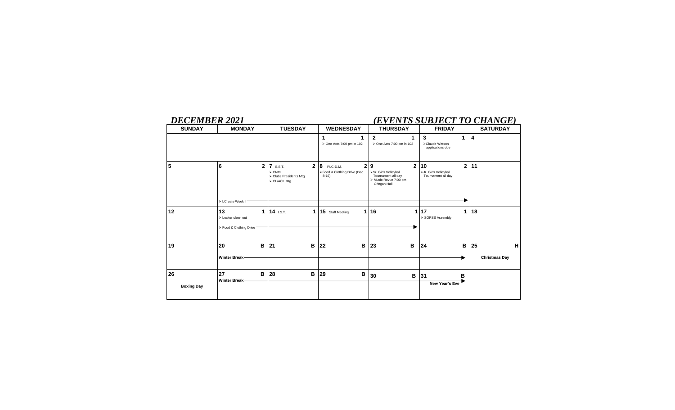# *DECEMBER 2021 (EVENTS SUBJECT TO CHANGE)*

| <b>SUNDAY</b>           | <b>MONDAY</b>                                            | <b>TUESDAY</b>                                                                                        | <b>WEDNESDAY</b>                                                        | <b>THURSDAY</b>                                                                                           | <b>FRIDAY</b>                                                     | <b>SATURDAY</b>                 |  |
|-------------------------|----------------------------------------------------------|-------------------------------------------------------------------------------------------------------|-------------------------------------------------------------------------|-----------------------------------------------------------------------------------------------------------|-------------------------------------------------------------------|---------------------------------|--|
|                         |                                                          |                                                                                                       | 1<br>> One Acts 7:00 pm in 102                                          | $\mathbf{2}$<br>1<br>> One Acts 7:00 pm in 102                                                            | 3<br>1<br>>Claude Watson<br>applications due                      | $\overline{4}$                  |  |
| 5                       | 6<br>$\overline{2}$<br>> LCreate Week I                  | $\overline{2}$<br><b>7</b> S.S.T.<br>$\triangleright$ CNML<br>> Clubs Presidents Mtg<br>> CL/ACL Mtg. | $\mathbf{2}$<br>8<br>PLC-D.M.<br>>Food & Clothing Drive (Dec.<br>$8-16$ | $\mathbf{2}$<br>9<br>>Sr. Girls Volleyball<br>Tournament all day<br>> Music Revue 7:00 pm<br>Cringan Hall | $\mathbf{2}$<br>10<br>>Jr. Girls Volleyball<br>Tournament all day | 11                              |  |
| 12                      | 13<br>1<br>> Locker clean out<br>> Food & Clothing Drive | 14 I.S.T.<br>1                                                                                        | 15 Staff Meeting<br>1                                                   | 16<br>1                                                                                                   | 17<br>1<br>> SOPSS Assembly                                       | 18                              |  |
| 19                      | 20<br>B<br><b>Winter Break-</b>                          | 21<br>В                                                                                               | в<br>22                                                                 | 23<br>в                                                                                                   | B<br>24                                                           | 25<br>H<br><b>Christmas Day</b> |  |
| 26<br><b>Boxing Day</b> | 27<br>В<br><b>Winter Break-</b>                          | 28<br>В                                                                                               | в<br>29                                                                 | 30<br>в                                                                                                   | в<br>31<br>New Year's Eve                                         |                                 |  |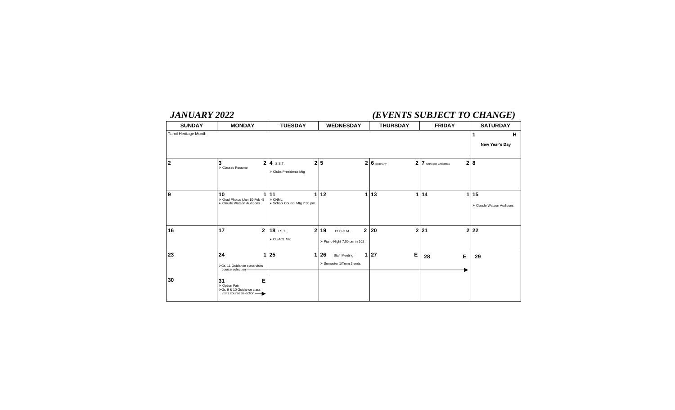# *JANUARY 2022 (EVENTS SUBJECT TO CHANGE)*

| <b>SUNDAY</b>        | <b>MONDAY</b>                                                            | <b>TUESDAY</b>                   |    | <b>WEDNESDAY</b>             | <b>THURSDAY</b>             | <b>FRIDAY</b>          | <b>SATURDAY</b>           |
|----------------------|--------------------------------------------------------------------------|----------------------------------|----|------------------------------|-----------------------------|------------------------|---------------------------|
| Tamil Heritage Month |                                                                          |                                  |    |                              |                             |                        | н<br>1                    |
|                      |                                                                          |                                  |    |                              |                             |                        | New Year's Day            |
|                      |                                                                          |                                  |    |                              |                             |                        |                           |
| $\overline{2}$       | 3<br>> Classes Resume                                                    | $2 \mid 4$ s.s.t.<br>$\mathbf 2$ | 5  |                              | $26$ Epiphany               | 2 7 Orthodox Christmas | 2 8                       |
|                      |                                                                          | > Clubs Presidents Mtg           |    |                              |                             |                        |                           |
|                      |                                                                          |                                  |    |                              |                             |                        |                           |
| 9                    | 10<br>> Grad Photos (Jan. 10-Feb 4)                                      | 11<br>1<br>$\triangleright$ CNML | 12 | 1                            | 13                          | 1 14<br>1              | 15                        |
|                      | > Claude Watson Auditions                                                | > School Council Mtg 7:30 pm     |    |                              |                             |                        | > Claude Watson Auditions |
|                      |                                                                          |                                  |    |                              |                             |                        |                           |
|                      | 17                                                                       |                                  |    |                              |                             |                        |                           |
| 16                   | $\mathbf{2}$                                                             | $18$ I.S.T.<br>2                 | 19 | $\mathbf 2$<br>PLC-D.M.      | 20                          | $2 \overline{21}$      | 222                       |
|                      |                                                                          | > CL/ACL Mtg                     |    | > Piano Night 7:00 pm in 102 |                             |                        |                           |
| 23                   | 24<br>$\mathbf{1}$                                                       | 25<br>1                          | 26 | <b>Staff Meeting</b>         | $\mathsf E$<br>$1 \vert 27$ | Е<br>28                | 29                        |
|                      | >Gr. 11 Guidance class visits                                            |                                  |    | > Semester 1/Term 2 ends     |                             |                        |                           |
|                      | course selection-                                                        |                                  |    |                              |                             |                        |                           |
| 30                   | 31<br>E                                                                  |                                  |    |                              |                             |                        |                           |
|                      | > Option Fair<br>>Gr. 9 & 10 Guidance class<br>visits course selection - |                                  |    |                              |                             |                        |                           |
|                      |                                                                          |                                  |    |                              |                             |                        |                           |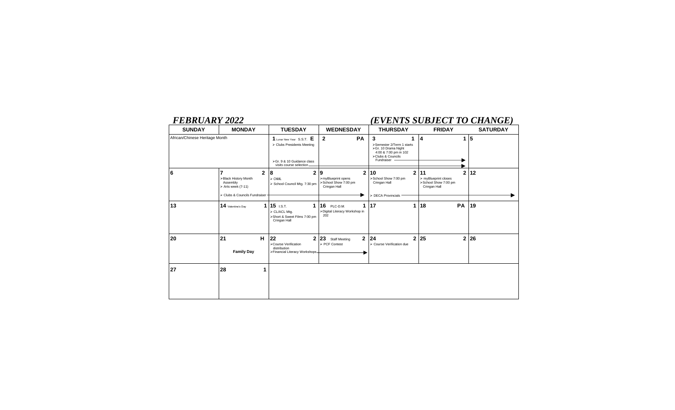# *FEBRUARY 2022 (EVENTS SUBJECT TO CHANGE)*

| <b>SUNDAY</b>                  | <b>MONDAY</b>                                                                                                                              | <b>TUESDAY</b>                                                                                                   | <b>WEDNESDAY</b>                                                                  | <b>THURSDAY</b>                                                                                                   | <b>FRIDAY</b>                                                                        | <b>SATURDAY</b> |
|--------------------------------|--------------------------------------------------------------------------------------------------------------------------------------------|------------------------------------------------------------------------------------------------------------------|-----------------------------------------------------------------------------------|-------------------------------------------------------------------------------------------------------------------|--------------------------------------------------------------------------------------|-----------------|
| African/Chinese Heritage Month |                                                                                                                                            | 1 Lunar New Year S.S.T. E<br>> Clubs Presidents Meeting<br>>Gr. 9 & 10 Guidance class<br>visits course selection | <b>PA</b><br>$\mathbf{2}$                                                         | 3<br>>Semester 2/Term 1 starts<br>>Gr. 10 Drama Night<br>4:00 & 7:00 pm in 102<br>>Clubs & Councils<br>Fundraiser | 4                                                                                    | 5               |
| 6                              | $\overline{7}$<br>$\overline{2}$<br>>Black History Month<br>Assembly<br>$\triangleright$ Arts week (7-11)<br>> Clubs & Councils Fundraiser | $\mathbf{2}$<br>8<br>$\triangleright$ CNML<br>> School Council Mtg. 7:30 pm                                      | $\overline{2}$<br>9<br>>myBlueprint opens<br>>School Show 7:00 pm<br>Cringan Hall | $\mathbf{2}$<br>10<br>>School Show 7:00 pm<br>Cringan Hall<br>> DECA Provincials                                  | 11<br>$\overline{2}$<br>> myBlueprint closes<br>>School Show 7:00 pm<br>Cringan Hall | 12              |
| 13                             | 14 Valentine's Day                                                                                                                         | $1 15$ i.s.t.<br>$\mathbf 1$<br>> CL/ACL Mtg.<br>>Short & Sweet Films 7:00 pm<br>Cringan Hall                    | <b>16</b> PLC-D.M.<br>1<br>>Digital Literacy Workshop in<br>202                   | 17<br>1                                                                                                           | 18<br><b>PA</b>                                                                      | 19              |
| 20                             | 21<br>н<br><b>Family Day</b>                                                                                                               | 22<br>$\overline{2}$<br>>Course Verification<br>distribution<br>>Financial Literacy Workshops-                   | $\mathbf{2}$<br>23<br><b>Staff Meeting</b><br>> PCF Contest                       | 24<br>> Course Verification due                                                                                   | 2 25<br>$\overline{2}$                                                               | 26              |
| 27                             | 28<br>и                                                                                                                                    |                                                                                                                  |                                                                                   |                                                                                                                   |                                                                                      |                 |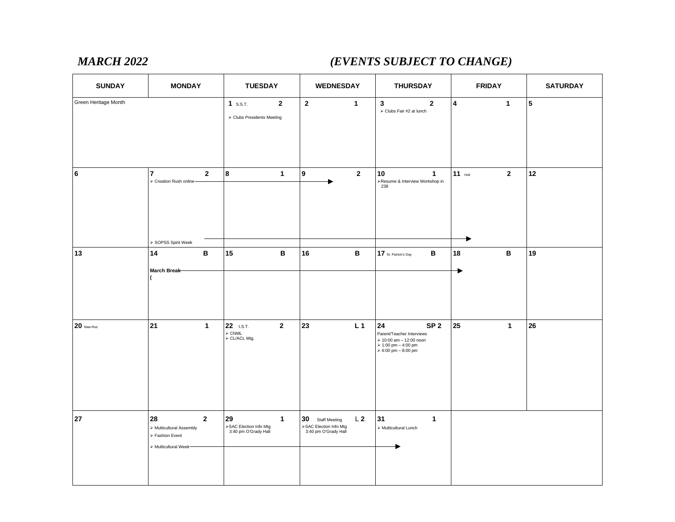# *MARCH 2022 (EVENTS SUBJECT TO CHANGE)*

| <b>SUNDAY</b>        | <b>MONDAY</b>                                                                                | <b>TUESDAY</b>                                                  |              | <b>WEDNESDAY</b>                                                   |                 | <b>THURSDAY</b>                                                                                                             |                         | <b>FRIDAY</b> | <b>SATURDAY</b>         |
|----------------------|----------------------------------------------------------------------------------------------|-----------------------------------------------------------------|--------------|--------------------------------------------------------------------|-----------------|-----------------------------------------------------------------------------------------------------------------------------|-------------------------|---------------|-------------------------|
| Green Heritage Month |                                                                                              | $1$ s.s.t.<br>$\mathbf{2}$<br>> Clubs Presidents Meeting        |              | $\overline{2}$                                                     | $\mathbf{1}$    | $\mathbf{3}$<br>$\mathbf{2}$<br>> Clubs Fair #2 at lunch                                                                    | $\overline{\mathbf{4}}$ | $\mathbf{1}$  | $\overline{\mathbf{5}}$ |
| $\bf 6$              | $\overline{7}$<br>$\mathbf 2$<br>> Creation Rush online-<br>> SOPSS Spirit Week              | $\bf{8}$                                                        | $\mathbf{1}$ | $\boldsymbol{9}$                                                   | $\mathbf{2}$    | 10<br>$\mathbf{1}$<br>>Resume & Interview Workshop in<br>238                                                                | 11 $H$                  | $\mathbf{2}$  | $12$                    |
| 13                   | B<br>14<br>March Break                                                                       | 15                                                              | $\, {\bf B}$ | 16                                                                 | $\, {\bf B} \,$ | В<br>17 St. Patrick's Day                                                                                                   | 18                      | в             | 19                      |
| $20$ Naw-Ruz         | 21<br>$\mathbf{1}$                                                                           | 22 I.S.T.<br>$\overline{\mathbf{2}}$<br>> CNML<br>> CL/ACL Mtg. |              | 23                                                                 | L <sub>1</sub>  | 24<br>SP <sub>2</sub><br>Parent/Teacher Interviews<br>> 10:00 am - 12:00 noon<br>> 1:00 pm - 4:00 pm<br>> 6:00 pm - 8:00 pm | 25                      | $\mathbf{1}$  | 26                      |
| 27                   | 28<br>$\overline{2}$<br>> Multicultural Assembly<br>> Fashion Event<br>> Multicultural Week- | 29<br>>SAC Election Info Mtg<br>3:40 pm O'Grady Hall            | $\mathbf{1}$ | 30 Staff Meeting<br>>SAC Election Info Mtg<br>3:40 pm O'Grady Hall | L <sub>2</sub>  | 31<br>$\mathbf{1}$<br>$\triangleright$ Multicultural Lunch                                                                  |                         |               |                         |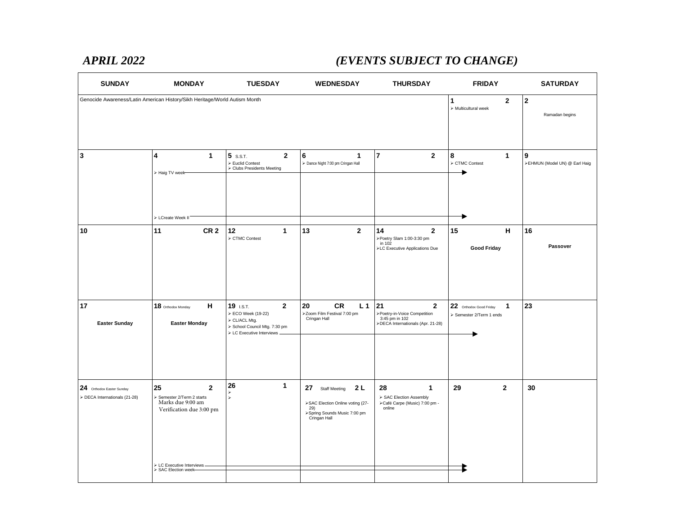# *APRIL 2022 (EVENTS SUBJECT TO CHANGE)*

| <b>SUNDAY</b>                                              | <b>MONDAY</b>                                                                                     | <b>TUESDAY</b>                                                                                                             | <b>WEDNESDAY</b>                                                                                                             | <b>THURSDAY</b>                                                                                           | <b>FRIDAY</b>                                                       | <b>SATURDAY</b>                               |
|------------------------------------------------------------|---------------------------------------------------------------------------------------------------|----------------------------------------------------------------------------------------------------------------------------|------------------------------------------------------------------------------------------------------------------------------|-----------------------------------------------------------------------------------------------------------|---------------------------------------------------------------------|-----------------------------------------------|
|                                                            | Genocide Awareness/Latin American History/Sikh Heritage/World Autism Month                        |                                                                                                                            |                                                                                                                              |                                                                                                           | $\overline{2}$<br>1<br>$\triangleright$ Multicultural week          | $\overline{2}$<br>Ramadan begins              |
| $\mathbf{3}$                                               | $\mathbf{1}$<br>4<br>> Haig TV week-                                                              | $5$ s.s.t.<br>$\mathbf{2}$<br>Euclid Contest<br>> Clubs Presidents Meeting                                                 | 6<br>$\mathbf{1}$<br>> Dance Night 7:00 pm Cringan Hall                                                                      | $\overline{7}$<br>$\overline{2}$                                                                          | 8<br>$\mathbf{1}$<br>> CTMC Contest                                 | $\mathbf{9}$<br>>EHMUN (Model UN) @ Earl Haig |
|                                                            | > LCreate Week II'                                                                                |                                                                                                                            |                                                                                                                              |                                                                                                           |                                                                     |                                               |
| 10                                                         | 11<br>CR <sub>2</sub>                                                                             | 12<br>$\mathbf{1}$<br>CTMC Contest                                                                                         | $\overline{2}$<br>13                                                                                                         | 14<br>$\mathbf{2}$<br>>Poetry Slam 1:00-3:30 pm<br>in 102<br>>LC Executive Applications Due               | H<br>15<br><b>Good Friday</b>                                       | 16<br>Passover                                |
| 17<br><b>Easter Sunday</b>                                 | н<br>18 Orthodox Monday<br><b>Easter Monday</b>                                                   | $\mathbf{2}$<br>19 I.S.T.<br>ECO Week (19-22)<br>> CL/ACL Mtg.<br>School Council Mtg. 7:30 pm<br>> LC Executive Interviews | 20<br><b>CR</b><br>L <sub>1</sub><br>>Zoom Film Festival 7:00 pm<br>Cringan Hall                                             | 21<br>$\mathbf{2}$<br>>Poetry-in-Voice Competition<br>3:45 pm in 102<br>>DECA Internationals (Apr. 21-28) | 22 Orthodox Good Friday<br>$\mathbf{1}$<br>> Semester 2/Term 1 ends | 23                                            |
| 24 Orthodox Easter Sunday<br>> DECA Internationals (21-28) | 25<br>$\overline{2}$<br>Semester 2/Term 2 starts<br>Marks due 9:00 am<br>Verification due 3:00 pm | 26<br>$\mathbf{1}$<br>⋗<br>Ł                                                                                               | 2 L<br>27<br><b>Staff Meeting</b><br>>SAC Election Online voting (27-<br>29)<br>>Spring Sounds Music 7:00 pm<br>Cringan Hall | 28<br>$\mathbf{1}$<br>> SAC Election Assembly<br>>Café Carpe (Music) 7:00 pm -<br>online                  | $\mathbf{2}$<br>29                                                  | 30                                            |
|                                                            | > LC Executive Interviews.<br>SAC Election week-                                                  |                                                                                                                            |                                                                                                                              |                                                                                                           |                                                                     |                                               |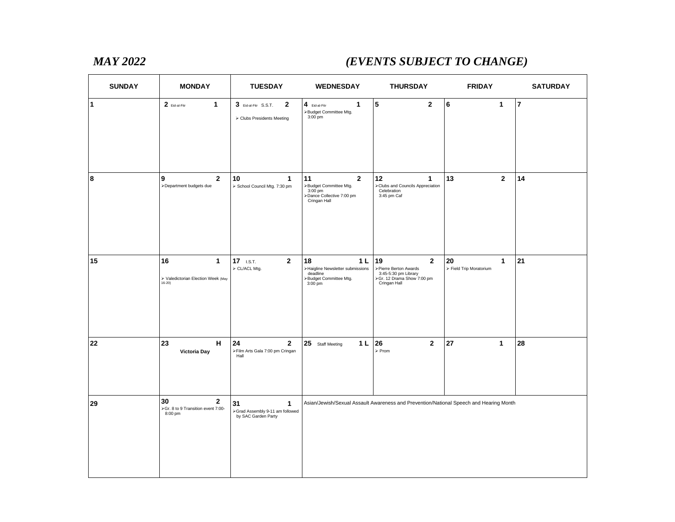# *MAY 2022 (EVENTS SUBJECT TO CHANGE)*

| <b>SUNDAY</b> | <b>MONDAY</b>                                                                  | <b>TUESDAY</b>                                                               | <b>WEDNESDAY</b>                                                                                            | <b>THURSDAY</b>                                                                                                  | <b>FRIDAY</b>                      | <b>SATURDAY</b> |
|---------------|--------------------------------------------------------------------------------|------------------------------------------------------------------------------|-------------------------------------------------------------------------------------------------------------|------------------------------------------------------------------------------------------------------------------|------------------------------------|-----------------|
| $\mathbf{1}$  | $2$ Eid-al-Fitr<br>1                                                           | 3 Eid-al-Fitr S.S.T.<br>$\mathbf{2}$<br>> Clubs Presidents Meeting           | $4$ Eid-al-Fitr<br>1<br>>Budget Committee Mtg.<br>$3:00$ pm                                                 | $5\phantom{.0}$<br>$\mathbf{2}$                                                                                  | 6<br>$\mathbf{1}$                  | $\overline{7}$  |
| 8             | $\overline{2}$<br>9<br>>Department budgets due                                 | 10<br>$\mathbf 1$<br>> School Council Mtg. 7:30 pm                           | 11<br>$\mathbf{2}$<br>>Budget Committee Mtg.<br>3:00 pm<br>>Dance Collective 7:00 pm<br>Cringan Hall        | 12<br>$\mathbf{1}$<br>>Clubs and Councils Appreciation<br>Celebration<br>3:45 pm Caf                             | 13<br>$\mathbf{2}$                 | 14              |
| 15            | 16<br>$\mathbf{1}$<br>$\triangleright$ Valedictorian Election Week (May 16-20) | $\overline{2}$<br>$17$ i.s.t.<br>> CL/ACL Mtg.                               | 18<br>1 <sub>L</sub><br>>Haigline Newsletter submissions<br>deadline<br>>Budget Committee Mtg.<br>$3:00$ pm | $\mathbf 2$<br>19<br>>Pierre Berton Awards<br>3:45-5:30 pm Library<br>>Gr. 12 Drama Show 7:00 pm<br>Cringan Hall | 20<br>1<br>> Field Trip Moratorium | 21              |
| 22            | 23<br>H<br><b>Victoria Day</b>                                                 | 24<br>$\mathbf{2}$<br>>Film Arts Gala 7:00 pm Cringan<br>Hall                | 1 <sub>L</sub><br>25 Staff Meeting                                                                          | 26<br>$\overline{2}$<br>$\triangleright$ Prom                                                                    | 27<br>$\mathbf{1}$                 | 28              |
| 29            | 30<br>$\mathbf{2}$<br>>Gr. 8 to 9 Transition event 7:00-<br>8:00 pm            | 31<br>$\mathbf{1}$<br>>Grad Assembly 9-11 am followed<br>by SAC Garden Party |                                                                                                             | Asian/Jewish/Sexual Assault Awareness and Prevention/National Speech and Hearing Month                           |                                    |                 |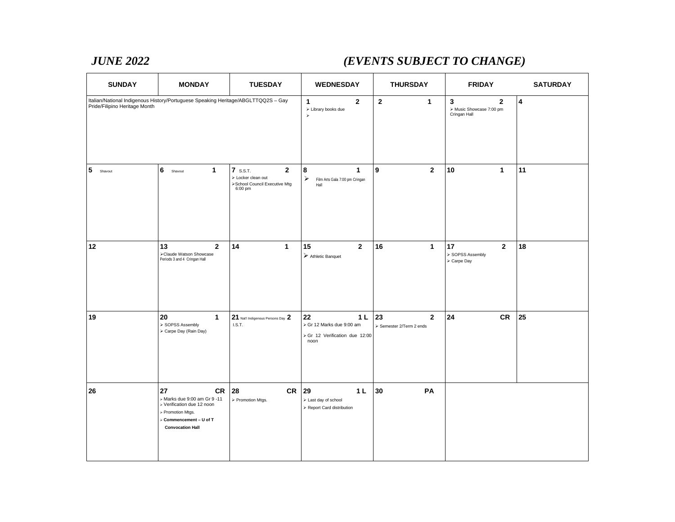# *JUNE 2022 (EVENTS SUBJECT TO CHANGE)*

| <b>SUNDAY</b>                 | <b>MONDAY</b>                                                                                                                                            | <b>TUESDAY</b>                                                                               | <b>WEDNESDAY</b>                                                                            | <b>THURSDAY</b>                                | <b>FRIDAY</b>                                                   | <b>SATURDAY</b> |
|-------------------------------|----------------------------------------------------------------------------------------------------------------------------------------------------------|----------------------------------------------------------------------------------------------|---------------------------------------------------------------------------------------------|------------------------------------------------|-----------------------------------------------------------------|-----------------|
| Pride/Filipino Heritage Month | Italian/National Indigenous History/Portuguese Speaking Heritage/ABGLTTQQ2S - Gay                                                                        |                                                                                              | $\mathbf{1}$<br>$\overline{2}$<br>> Library books due<br>$\blacktriangleright$              | $\overline{2}$<br>$\mathbf{1}$                 | 3<br>$\overline{2}$<br>> Music Showcase 7:00 pm<br>Cringan Hall | $\overline{4}$  |
| 5<br>Shavout                  | 6<br>$\mathbf{1}$<br>Shavout                                                                                                                             | $7$ s.s.t.<br>$\mathbf{2}$<br>> Locker clean out<br>>School Council Executive Mtg<br>6:00 pm | 8<br>$\mathbf{1}$<br>$\blacktriangleright$<br>Film Arts Gala 7:00 pm Cringan<br>Hall        | 9<br>$\overline{2}$                            | 10<br>$\mathbf{1}$                                              | 11              |
| 12                            | 13<br>$\mathbf{2}$<br>Claude Watson Showcase<br>Periods 3 and 4 Cringan Hall                                                                             | 14<br>$\mathbf{1}$                                                                           | 15<br>$\mathbf{2}$<br>$\triangleright$ Athletic Banquet                                     | 16<br>$\mathbf{1}$                             | 17<br>$\mathbf{2}$<br>SOPSS Assembly<br>> Carpe Day             | 18              |
| 19                            | 20<br>$\mathbf{1}$<br>> SOPSS Assembly<br>> Carpe Day (Rain Day)                                                                                         | 21 Nat'l Indigenous Persons Day 2<br>I.S.T.                                                  | 22<br>1 <sub>L</sub><br>> Gr 12 Marks due 9:00 am<br>> Gr 12 Verification due 12:00<br>noon | 23<br>$\mathbf{2}$<br>> Semester 2/Term 2 ends | 24<br>CR                                                        | 25              |
| 26                            | 27<br><b>CR</b><br>> Marks due 9:00 am Gr 9 -11<br>> Verification due 12 noon<br>> Promotion Mtgs.<br>> Commencement - U of T<br><b>Convocation Hall</b> | CR<br>28<br>> Promotion Mtgs.                                                                | 29<br>1 <sub>L</sub><br>> Last day of school<br>> Report Card distribution                  | 30<br>PA                                       |                                                                 |                 |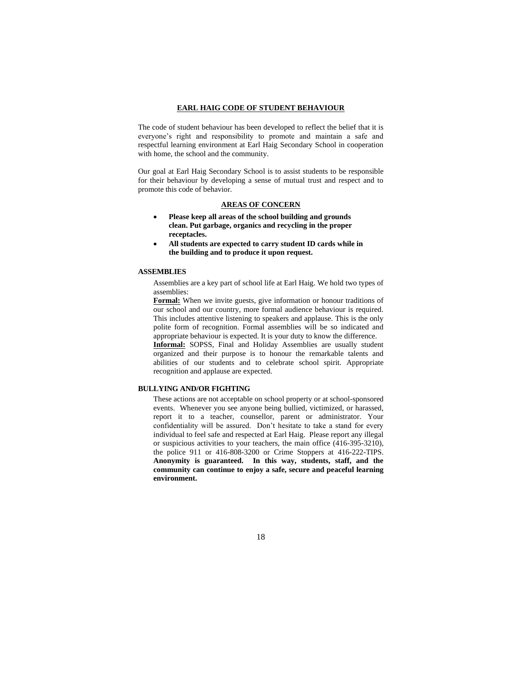#### **EARL HAIG CODE OF STUDENT BEHAVIOUR**

The code of student behaviour has been developed to reflect the belief that it is everyone's right and responsibility to promote and maintain a safe and respectful learning environment at Earl Haig Secondary School in cooperation with home, the school and the community.

Our goal at Earl Haig Secondary School is to assist students to be responsible for their behaviour by developing a sense of mutual trust and respect and to promote this code of behavior.

### **AREAS OF CONCERN**

- **Please keep all areas of the school building and grounds clean. Put garbage, organics and recycling in the proper receptacles.**
- **All students are expected to carry student ID cards while in the building and to produce it upon request.**

#### **ASSEMBLIES**

Assemblies are a key part of school life at Earl Haig. We hold two types of assemblies:

**Formal:** When we invite guests, give information or honour traditions of our school and our country, more formal audience behaviour is required. This includes attentive listening to speakers and applause. This is the only polite form of recognition. Formal assemblies will be so indicated and appropriate behaviour is expected. It is your duty to know the difference. **Informal:** SOPSS, Final and Holiday Assemblies are usually student organized and their purpose is to honour the remarkable talents and abilities of our students and to celebrate school spirit. Appropriate

recognition and applause are expected.

### **BULLYING AND/OR FIGHTING**

These actions are not acceptable on school property or at school-sponsored events. Whenever you see anyone being bullied, victimized, or harassed, report it to a teacher, counsellor, parent or administrator. Your confidentiality will be assured. Don't hesitate to take a stand for every individual to feel safe and respected at Earl Haig. Please report any illegal or suspicious activities to your teachers, the main office (416-395-3210), the police 911 or 416-808-3200 or Crime Stoppers at 416-222-TIPS. **Anonymity is guaranteed. In this way, students, staff, and the community can continue to enjoy a safe, secure and peaceful learning environment.**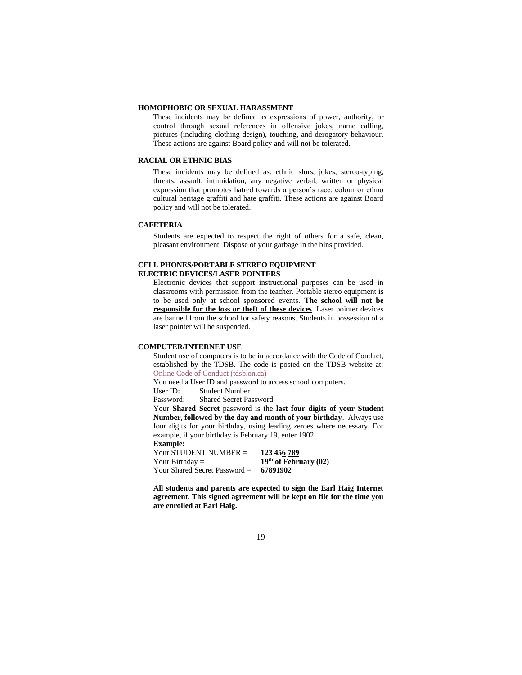#### **HOMOPHOBIC OR SEXUAL HARASSMENT**

These incidents may be defined as expressions of power, authority, or control through sexual references in offensive jokes, name calling, pictures (including clothing design), touching, and derogatory behaviour. These actions are against Board policy and will not be tolerated.

#### **RACIAL OR ETHNIC BIAS**

These incidents may be defined as: ethnic slurs, jokes, stereo-typing, threats, assault, intimidation, any negative verbal, written or physical expression that promotes hatred towards a person's race, colour or ethno cultural heritage graffiti and hate graffiti. These actions are against Board policy and will not be tolerated.

#### **CAFETERIA**

Students are expected to respect the right of others for a safe, clean, pleasant environment. Dispose of your garbage in the bins provided.

#### **CELL PHONES/PORTABLE STEREO EQUIPMENT ELECTRIC DEVICES/LASER POINTERS**

Electronic devices that support instructional purposes can be used in classrooms with permission from the teacher. Portable stereo equipment is to be used only at school sponsored events. **The school will not be responsible for the loss or theft of these devices**. Laser pointer devices are banned from the school for safety reasons. Students in possession of a laser pointer will be suspended.

#### **COMPUTER/INTERNET USE**

Student use of computers is to be in accordance with the Code of Conduct, established by the TDSB. The code is posted on the TDSB website at: [Online Code of Conduct \(tdsb.on.ca\)](https://www.tdsb.on.ca/About-Us/Policies-Procedures-Forms/Online-Code-of-Conduct)

You need a User ID and password to access school computers.

User ID: Student Number

Password: Shared Secret Password

Your **Shared Secret** password is the **last four digits of your Student Number, followed by the day and month of your birthday**. Always use four digits for your birthday, using leading zeroes where necessary. For example, if your birthday is February 19, enter 1902. **Example:**

Your STUDENT NUMBER = **123 456 789** Your Birthday = **19<sup>th</sup> of February (02)**<br>Your Shared Secret Password = **67891902** Your Shared Secret Password =

**All students and parents are expected to sign the Earl Haig Internet agreement. This signed agreement will be kept on file for the time you are enrolled at Earl Haig.**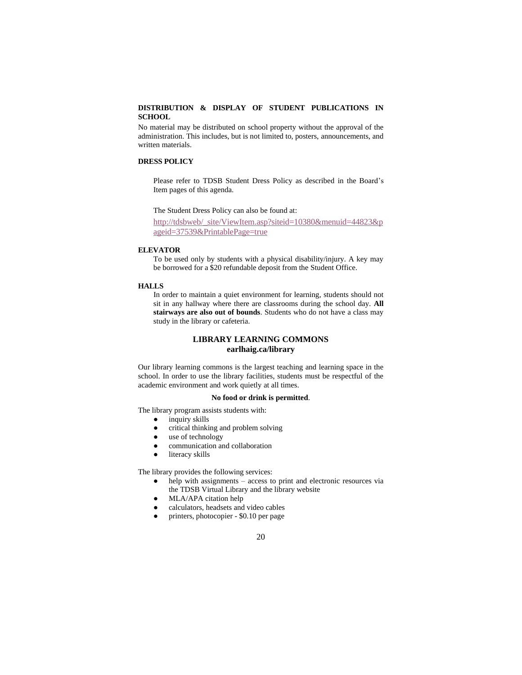### **DISTRIBUTION & DISPLAY OF STUDENT PUBLICATIONS IN SCHOOL**

No material may be distributed on school property without the approval of the administration. This includes, but is not limited to, posters, announcements, and written materials.

#### **DRESS POLICY**

Please refer to TDSB Student Dress Policy as described in the Board's Item pages of this agenda.

The Student Dress Policy can also be found at:

[http://tdsbweb/\\_site/ViewItem.asp?siteid=10380&menuid=44823&p](http://tdsbweb/_site/ViewItem.asp?siteid=10380&menuid=44823&pageid=37539&PrintablePage=true) [ageid=37539&PrintablePage=true](http://tdsbweb/_site/ViewItem.asp?siteid=10380&menuid=44823&pageid=37539&PrintablePage=true)

#### **ELEVATOR**

To be used only by students with a physical disability/injury. A key may be borrowed for a \$20 refundable deposit from the Student Office.

#### **HALLS**

 In order to maintain a quiet environment for learning, students should not sit in any hallway where there are classrooms during the school day. **All stairways are also out of bounds**. Students who do not have a class may study in the library or cafeteria.

## **LIBRARY LEARNING COMMONS earlhaig.ca/library**

Our library learning commons is the largest teaching and learning space in the school. In order to use the library facilities, students must be respectful of the academic environment and work quietly at all times.

### **No food or drink is permitted**.

The library program assists students with:

- inquiry skills
- critical thinking and problem solving
- use of technology
- communication and collaboration
- literacy skills

The library provides the following services:

- $h$ elp with assignments access to print and electronic resources via the TDSB Virtual Library and the library website
- MLA/APA citation help
- calculators, headsets and video cables
- printers, photocopier \$0.10 per page
	- 20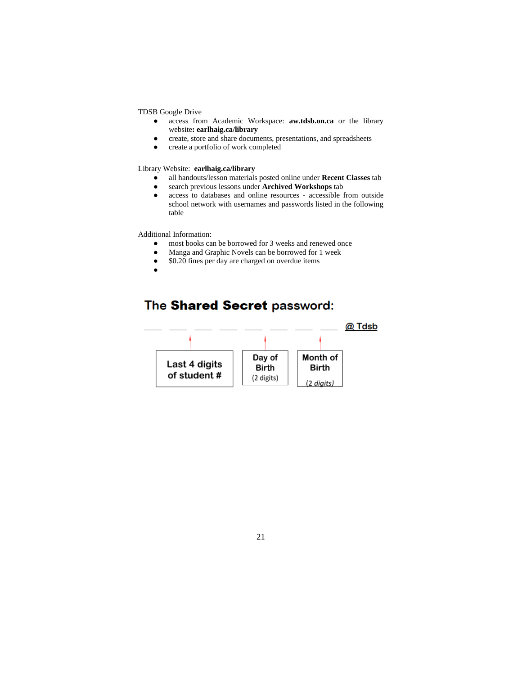#### TDSB Google Drive

- access from Academic Workspace: **aw.tdsb.on.ca** or the library website**: earlhaig.ca/library**
- create, store and share documents, presentations, and spreadsheets
- create a portfolio of work completed

#### Library Website: **earlhaig.ca/library**

- all handouts/lesson materials posted online under **Recent Classes** tab
- search previous lessons under **Archived Workshops** tab
- access to databases and online resources accessible from outside school network with usernames and passwords listed in the following table

Additional Information:

- most books can be borrowed for 3 weeks and renewed once
- Manga and Graphic Novels can be borrowed for 1 week
- \$0.20 fines per day are charged on overdue items
- ●

# The Shared Secret password:

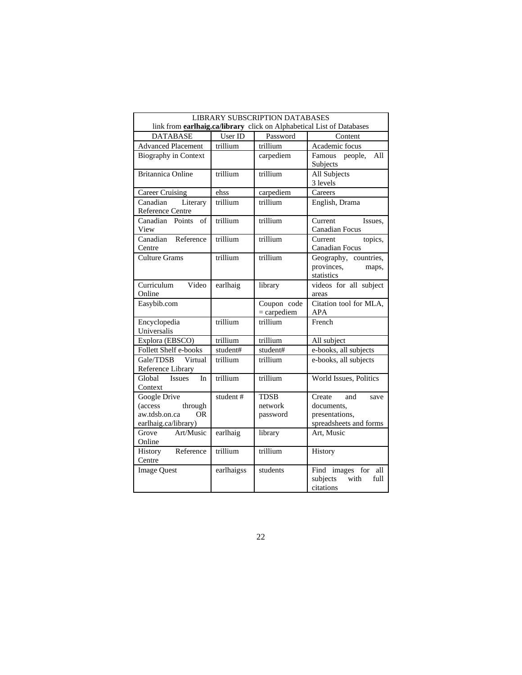|                                                                                                          | <b>LIBRARY SUBSCRIPTION DATABASES</b> |                                    |                                                                                 |  |  |  |  |
|----------------------------------------------------------------------------------------------------------|---------------------------------------|------------------------------------|---------------------------------------------------------------------------------|--|--|--|--|
| link from <b>earlhaig.ca/library</b> click on Alphabetical List of Databases                             |                                       |                                    |                                                                                 |  |  |  |  |
| <b>DATABASE</b>                                                                                          | User ID                               | Password                           | Content                                                                         |  |  |  |  |
| <b>Advanced Placement</b>                                                                                | trillium                              | trillium                           | Academic focus                                                                  |  |  |  |  |
| <b>Biography in Context</b>                                                                              |                                       | carpediem                          | Famous people,<br>All<br>Subjects                                               |  |  |  |  |
| <b>Britannica Online</b>                                                                                 | trillium                              | trillium                           | All Subjects<br>3 levels                                                        |  |  |  |  |
| <b>Career Cruising</b>                                                                                   | ehss                                  | carpediem                          | Careers                                                                         |  |  |  |  |
| Canadian<br>Literary<br>Reference Centre                                                                 | trillium                              | trillium                           | English, Drama                                                                  |  |  |  |  |
| Canadian Points<br>of<br>View                                                                            | trillium                              | trillium                           | Current<br>Issues,<br>Canadian Focus                                            |  |  |  |  |
| Canadian<br>Reference<br>Centre                                                                          | trillium                              | trillium                           | Current<br>topics,<br>Canadian Focus                                            |  |  |  |  |
| <b>Culture Grams</b>                                                                                     | trillium                              | trillium                           | Geography, countries,<br>provinces,<br>maps,<br>statistics                      |  |  |  |  |
| Curriculum<br>Video<br>Online                                                                            | earlhaig                              | library                            | videos for all subject<br>areas                                                 |  |  |  |  |
| Easybib.com                                                                                              |                                       | Coupon code<br>$=$ carpediem       | Citation tool for MLA,<br>APA                                                   |  |  |  |  |
| Encyclopedia<br>Universalis                                                                              | trillium                              | trillium                           | French                                                                          |  |  |  |  |
| Explora (EBSCO)                                                                                          | trillium                              | trillium                           | All subject                                                                     |  |  |  |  |
| Follett Shelf e-books                                                                                    | student#                              | student#                           | e-books, all subjects                                                           |  |  |  |  |
| Gale/TDSB<br>Virtual<br>Reference Library                                                                | trillium                              | trillium                           | e-books, all subjects                                                           |  |  |  |  |
| Global<br><b>Issues</b><br>In<br>Context                                                                 | trillium                              | trillium                           | World Issues, Politics                                                          |  |  |  |  |
| <b>Google Drive</b><br><i>(access</i> )<br>through<br>aw.tdsb.on.ca<br><b>OR</b><br>earlhaig.ca/library) | student#                              | <b>TDSB</b><br>network<br>password | and<br>Create<br>save<br>documents,<br>presentations,<br>spreadsheets and forms |  |  |  |  |
| Art/Music<br>Grove<br>Online                                                                             | earlhaig                              | library                            | Art, Music                                                                      |  |  |  |  |
| Reference<br>History<br>Centre                                                                           | trillium                              | trillium                           | History                                                                         |  |  |  |  |
| <b>Image Quest</b>                                                                                       | earlhaigss                            | students                           | Find images for<br>all<br>subjects<br>with<br>full<br>citations                 |  |  |  |  |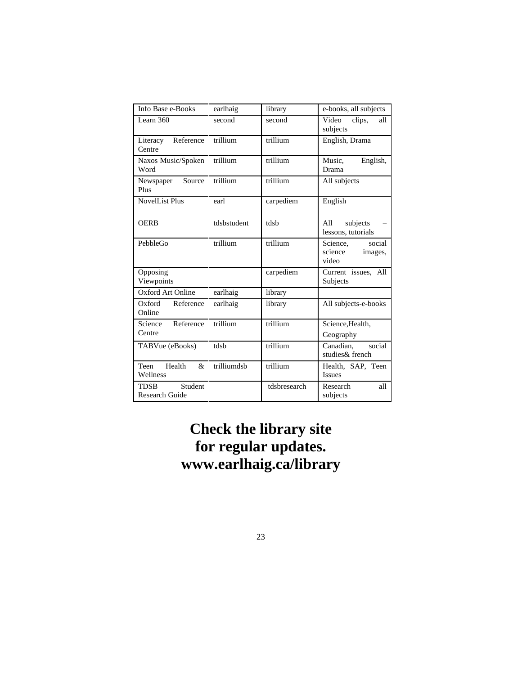| Info Base e-Books                                         | earlhaig    | library      | e-books, all subjects                             |
|-----------------------------------------------------------|-------------|--------------|---------------------------------------------------|
| Learn $360$                                               | second      | second       | Video<br>clips,<br>all<br>subjects                |
| Reference<br>Literacy<br>Centre                           | trillium    | trillium     | English, Drama                                    |
| Naxos Music/Spoken<br>Word                                | trillium    | trillium     | Music,<br>English,<br>Drama                       |
| Source<br>Newspaper<br>Plus                               | trillium    | trillium     | All subjects                                      |
| <b>NovelList Plus</b>                                     | earl        | carpediem    | English                                           |
| <b>OERB</b>                                               | tdsbstudent | tdsb         | subjects<br>All<br>lessons, tutorials             |
| PebbleGo                                                  | trillium    | trillium     | social<br>Science,<br>science<br>images,<br>video |
| Opposing<br>Viewpoints                                    |             | carpediem    | Current issues, All<br>Subjects                   |
| Oxford Art Online                                         | earlhaig    | library      |                                                   |
| Oxford<br>Reference<br>Online                             | earlhaig    | library      | All subjects-e-books                              |
| Science<br>Reference<br>Centre                            | trillium    | trillium     | Science, Health,<br>Geography                     |
| TABVue (eBooks)                                           | tdsb        | trillium     | social<br>Canadian,<br>studies& french            |
| Health<br>Teen<br>$\mathcal{R}_{\mathcal{L}}$<br>Wellness | trilliumdsb | trillium     | Health, SAP, Teen<br><b>Issues</b>                |
| Student<br><b>TDSB</b><br>Research Guide                  |             | tdsbresearch | Research<br>all<br>subjects                       |

# **Check the library site for regular updates. www.earlhaig.ca/library**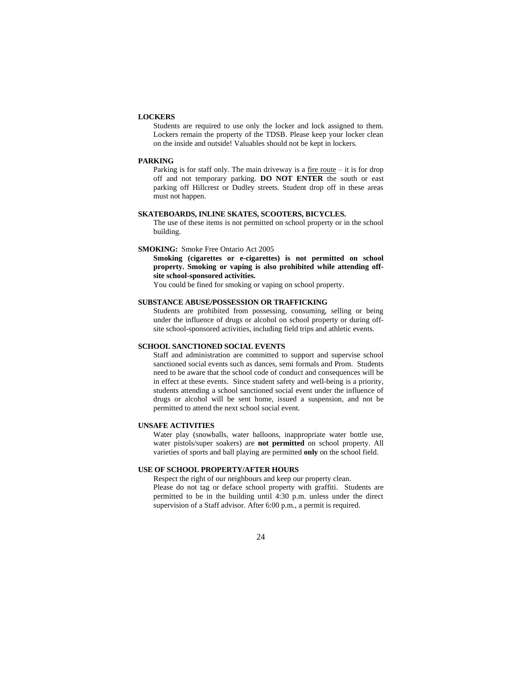#### **LOCKERS**

Students are required to use only the locker and lock assigned to them. Lockers remain the property of the TDSB. Please keep your locker clean on the inside and outside! Valuables should not be kept in lockers.

#### **PARKING**

Parking is for staff only. The main driveway is a  $f_1$  fire route – it is for drop off and not temporary parking. **DO NOT ENTER** the south or east parking off Hillcrest or Dudley streets. Student drop off in these areas must not happen.

#### **SKATEBOARDS, INLINE SKATES, SCOOTERS, BICYCLES.**

The use of these items is not permitted on school property or in the school building.

#### **SMOKING:** Smoke Free Ontario Act 2005

**Smoking (cigarettes or e-cigarettes) is not permitted on school property. Smoking or vaping is also prohibited while attending offsite school-sponsored activities.** 

You could be fined for smoking or vaping on school property.

#### **SUBSTANCE ABUSE/POSSESSION OR TRAFFICKING**

Students are prohibited from possessing, consuming, selling or being under the influence of drugs or alcohol on school property or during offsite school-sponsored activities, including field trips and athletic events.

#### **SCHOOL SANCTIONED SOCIAL EVENTS**

Staff and administration are committed to support and supervise school sanctioned social events such as dances, semi formals and Prom. Students need to be aware that the school code of conduct and consequences will be in effect at these events. Since student safety and well-being is a priority, students attending a school sanctioned social event under the influence of drugs or alcohol will be sent home, issued a suspension, and not be permitted to attend the next school social event.

#### **UNSAFE ACTIVITIES**

Water play (snowballs, water balloons, inappropriate water bottle use, water pistols/super soakers) are **not permitted** on school property. All varieties of sports and ball playing are permitted **only** on the school field.

#### **USE OF SCHOOL PROPERTY/AFTER HOURS**

Respect the right of our neighbours and keep our property clean. Please do not tag or deface school property with graffiti. Students are permitted to be in the building until 4:30 p.m. unless under the direct supervision of a Staff advisor. After 6:00 p.m., a permit is required.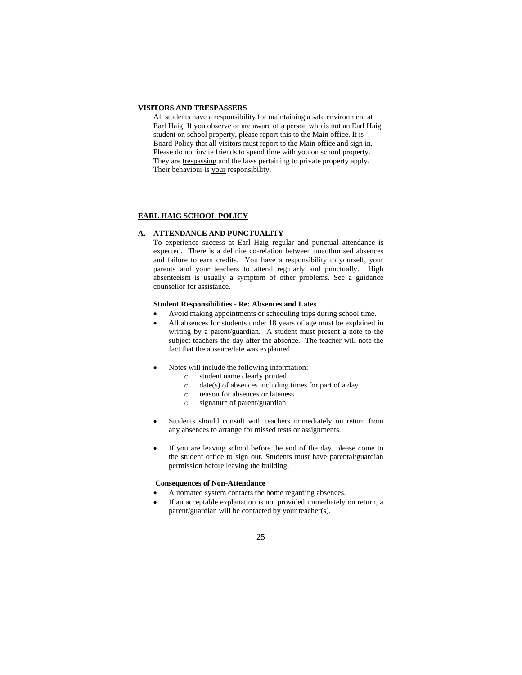#### **VISITORS AND TRESPASSERS**

All students have a responsibility for maintaining a safe environment at Earl Haig. If you observe or are aware of a person who is not an Earl Haig student on school property, please report this to the Main office. It is Board Policy that all visitors must report to the Main office and sign in. Please do not invite friends to spend time with you on school property. They are trespassing and the laws pertaining to private property apply. Their behaviour is your responsibility.

#### **EARL HAIG SCHOOL POLICY**

#### **A. ATTENDANCE AND PUNCTUALITY**

To experience success at Earl Haig regular and punctual attendance is expected. There is a definite co-relation between unauthorised absences and failure to earn credits. You have a responsibility to yourself, your parents and your teachers to attend regularly and punctually. High absenteeism is usually a symptom of other problems. See a guidance counsellor for assistance.

#### **Student Responsibilities - Re: Absences and Lates**

- Avoid making appointments or scheduling trips during school time.
- All absences for students under 18 years of age must be explained in writing by a parent/guardian. A student must present a note to the subject teachers the day after the absence. The teacher will note the fact that the absence/late was explained.
- Notes will include the following information:
	- o student name clearly printed
	- $\circ$  date(s) of absences including times for part of a day
	- o reason for absences or lateness
	- o signature of parent/guardian
- Students should consult with teachers immediately on return from any absences to arrange for missed tests or assignments.
- If you are leaving school before the end of the day, please come to the student office to sign out. Students must have parental/guardian permission before leaving the building.

#### **Consequences of Non-Attendance**

- Automated system contacts the home regarding absences.
- If an acceptable explanation is not provided immediately on return, a parent/guardian will be contacted by your teacher(s).
	- 25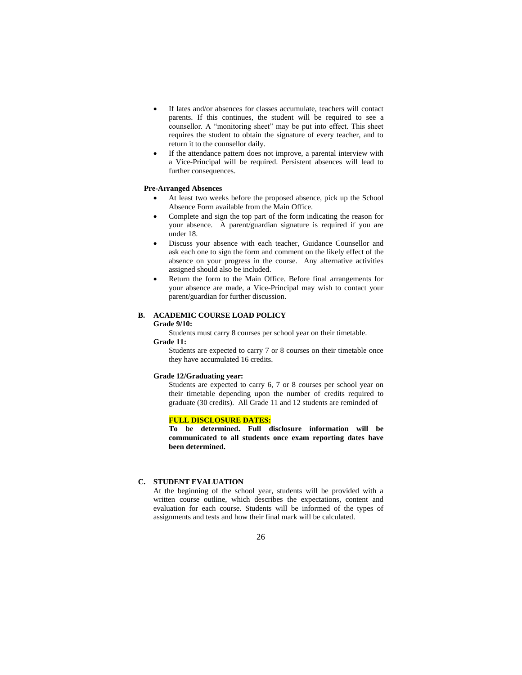- If lates and/or absences for classes accumulate, teachers will contact parents. If this continues, the student will be required to see a counsellor. A "monitoring sheet" may be put into effect. This sheet requires the student to obtain the signature of every teacher, and to return it to the counsellor daily.
- If the attendance pattern does not improve, a parental interview with a Vice-Principal will be required. Persistent absences will lead to further consequences.

#### **Pre-Arranged Absences**

- At least two weeks before the proposed absence, pick up the School Absence Form available from the Main Office.
- Complete and sign the top part of the form indicating the reason for your absence. A parent/guardian signature is required if you are under 18.
- Discuss your absence with each teacher, Guidance Counsellor and ask each one to sign the form and comment on the likely effect of the absence on your progress in the course. Any alternative activities assigned should also be included.
- Return the form to the Main Office. Before final arrangements for your absence are made, a Vice-Principal may wish to contact your parent/guardian for further discussion.

### **B. ACADEMIC COURSE LOAD POLICY**

### **Grade 9/10:**

Students must carry 8 courses per school year on their timetable.

## **Grade 11:**

Students are expected to carry 7 or 8 courses on their timetable once they have accumulated 16 credits.

### **Grade 12/Graduating year:**

Students are expected to carry 6, 7 or 8 courses per school year on their timetable depending upon the number of credits required to graduate (30 credits). All Grade 11 and 12 students are reminded of

#### **FULL DISCLOSURE DATES:**

**To be determined. Full disclosure information will be communicated to all students once exam reporting dates have been determined.**

### **C. STUDENT EVALUATION**

At the beginning of the school year, students will be provided with a written course outline, which describes the expectations, content and evaluation for each course. Students will be informed of the types of assignments and tests and how their final mark will be calculated.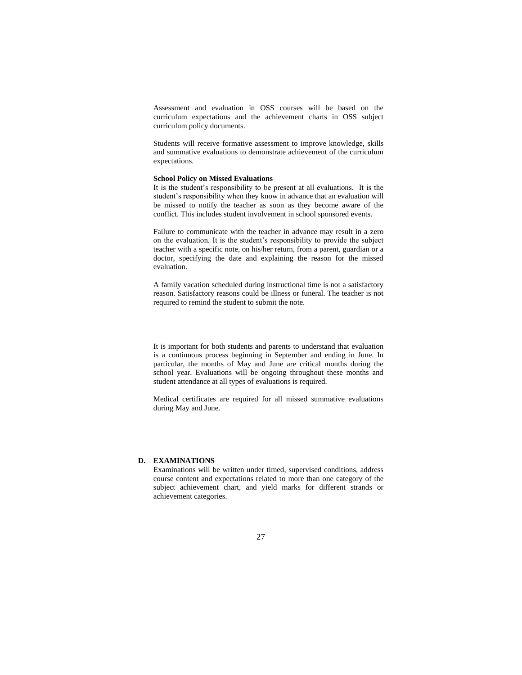Assessment and evaluation in OSS courses will be based on the curriculum expectations and the achievement charts in OSS subject curriculum policy documents.

Students will receive formative assessment to improve knowledge, skills and summative evaluations to demonstrate achievement of the curriculum expectations.

#### **School Policy on Missed Evaluations**

It is the student's responsibility to be present at all evaluations. It is the student's responsibility when they know in advance that an evaluation will be missed to notify the teacher as soon as they become aware of the conflict. This includes student involvement in school sponsored events.

Failure to communicate with the teacher in advance may result in a zero on the evaluation. It is the student's responsibility to provide the subject teacher with a specific note, on his/her return, from a parent, guardian or a doctor, specifying the date and explaining the reason for the missed evaluation.

A family vacation scheduled during instructional time is not a satisfactory reason. Satisfactory reasons could be illness or funeral. The teacher is not required to remind the student to submit the note.

It is important for both students and parents to understand that evaluation is a continuous process beginning in September and ending in June. In particular, the months of May and June are critical months during the school year. Evaluations will be ongoing throughout these months and student attendance at all types of evaluations is required.

Medical certificates are required for all missed summative evaluations during May and June.

#### **D. EXAMINATIONS**

Examinations will be written under timed, supervised conditions, address course content and expectations related to more than one category of the subject achievement chart, and yield marks for different strands or achievement categories.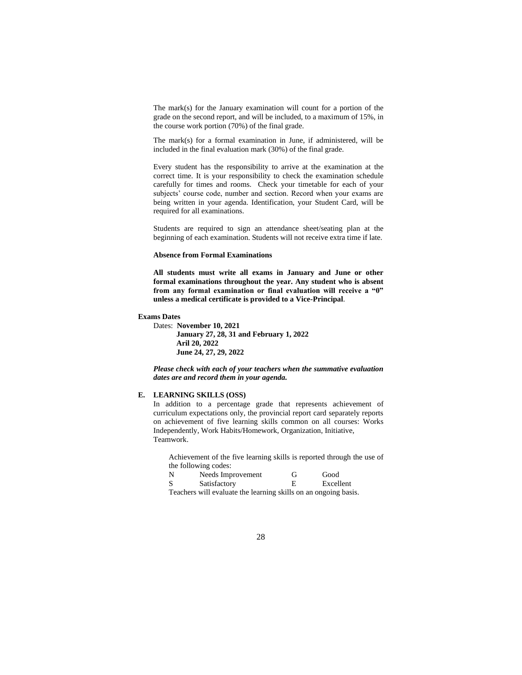The mark(s) for the January examination will count for a portion of the grade on the second report, and will be included, to a maximum of 15%, in the course work portion (70%) of the final grade.

The mark(s) for a formal examination in June, if administered, will be included in the final evaluation mark (30%) of the final grade.

Every student has the responsibility to arrive at the examination at the correct time. It is your responsibility to check the examination schedule carefully for times and rooms. Check your timetable for each of your subjects' course code, number and section. Record when your exams are being written in your agenda. Identification, your Student Card, will be required for all examinations.

Students are required to sign an attendance sheet/seating plan at the beginning of each examination. Students will not receive extra time if late.

#### **Absence from Formal Examinations**

**All students must write all exams in January and June or other formal examinations throughout the year. Any student who is absent from any formal examination or final evaluation will receive a "0" unless a medical certificate is provided to a Vice-Principal**.

#### **Exams Dates**

Dates: **November 10, 2021 January 27, 28, 31 and February 1, 2022 Aril 20, 2022 June 24, 27, 29, 2022**

*Please check with each of your teachers when the summative evaluation dates are and record them in your agenda.*

### **E. LEARNING SKILLS (OSS)**

In addition to a percentage grade that represents achievement of curriculum expectations only, the provincial report card separately reports on achievement of five learning skills common on all courses: Works Independently, Work Habits/Homework, Organization, Initiative, Teamwork.

Achievement of the five learning skills is reported through the use of the following codes:

| N | Needs Improvement | Gì | Good      |
|---|-------------------|----|-----------|
| S | Satisfactory      |    | Excellent |
|   |                   |    |           |

Teachers will evaluate the learning skills on an ongoing basis.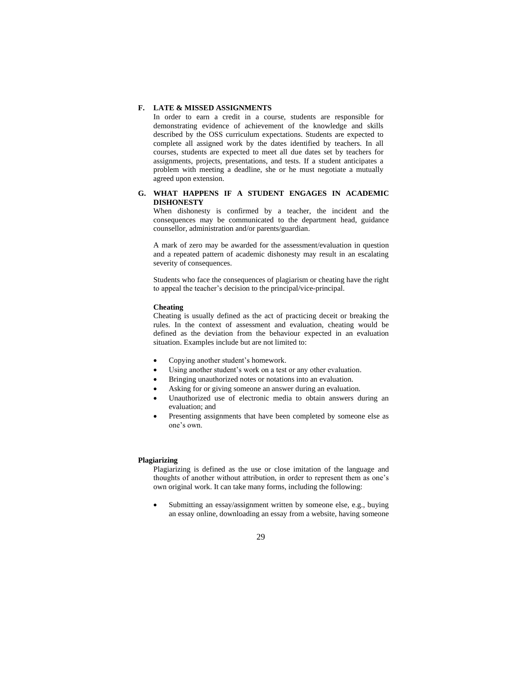#### **F. LATE & MISSED ASSIGNMENTS**

In order to earn a credit in a course, students are responsible for demonstrating evidence of achievement of the knowledge and skills described by the OSS curriculum expectations. Students are expected to complete all assigned work by the dates identified by teachers. In all courses, students are expected to meet all due dates set by teachers for assignments, projects, presentations, and tests. If a student anticipates a problem with meeting a deadline, she or he must negotiate a mutually agreed upon extension.

### **G. WHAT HAPPENS IF A STUDENT ENGAGES IN ACADEMIC DISHONESTY**

When dishonesty is confirmed by a teacher, the incident and the consequences may be communicated to the department head, guidance counsellor, administration and/or parents/guardian.

A mark of zero may be awarded for the assessment/evaluation in question and a repeated pattern of academic dishonesty may result in an escalating severity of consequences.

Students who face the consequences of plagiarism or cheating have the right to appeal the teacher's decision to the principal/vice-principal.

#### **Cheating**

Cheating is usually defined as the act of practicing deceit or breaking the rules. In the context of assessment and evaluation, cheating would be defined as the deviation from the behaviour expected in an evaluation situation. Examples include but are not limited to:

- Copying another student's homework.
- Using another student's work on a test or any other evaluation.
- Bringing unauthorized notes or notations into an evaluation.
- Asking for or giving someone an answer during an evaluation.
- Unauthorized use of electronic media to obtain answers during an evaluation; and
- Presenting assignments that have been completed by someone else as one's own.

### **Plagiarizing**

Plagiarizing is defined as the use or close imitation of the language and thoughts of another without attribution, in order to represent them as one's own original work. It can take many forms, including the following:

Submitting an essay/assignment written by someone else, e.g., buying an essay online, downloading an essay from a website, having someone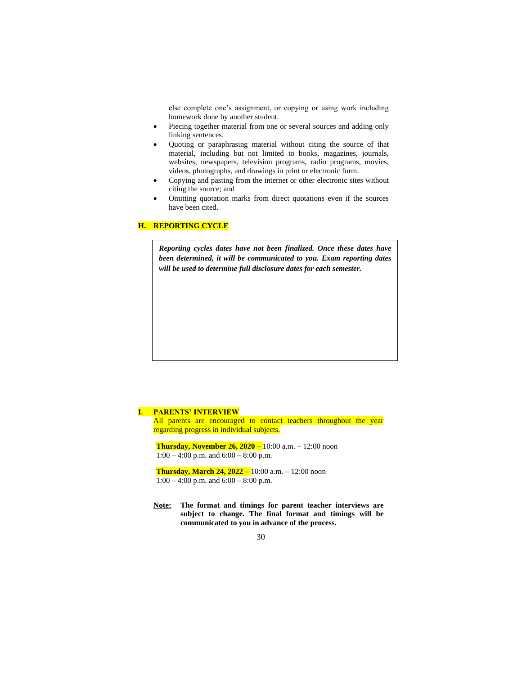else complete one's assignment, or copying or using work including homework done by another student.

- Piecing together material from one or several sources and adding only linking sentences.
- Quoting or paraphrasing material without citing the source of that material, including but not limited to books, magazines, journals, websites, newspapers, television programs, radio programs, movies, videos, photographs, and drawings in print or electronic form.
- Copying and pasting from the internet or other electronic sites without citing the source; and
- Omitting quotation marks from direct quotations even if the sources have been cited.

## **H. REPORTING CYCLE**

*Reporting cycles dates have not been finalized. Once these dates have been determined, it will be communicated to you. Exam reporting dates will be used to determine full disclosure dates for each semester.*

#### **I. PARENTS' INTERVIEW**

All parents are encouraged to contact teachers throughout the year regarding progress in individual subjects.

**Thursday, November 26, 2020** – 10:00 a.m. – 12:00 noon 1:00 – 4:00 p.m. and 6:00 – 8:00 p.m.

**Thursday, March 24, 2022** – 10:00 a.m. – 12:00 noon 1:00 – 4:00 p.m. and 6:00 – 8:00 p.m.

**Note: The format and timings for parent teacher interviews are subject to change. The final format and timings will be communicated to you in advance of the process.**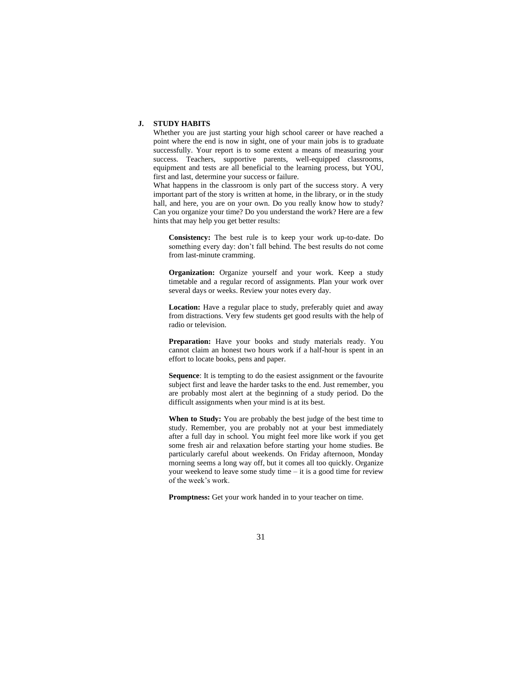### **J. STUDY HABITS**

Whether you are just starting your high school career or have reached a point where the end is now in sight, one of your main jobs is to graduate successfully. Your report is to some extent a means of measuring your success. Teachers, supportive parents, well-equipped classrooms, equipment and tests are all beneficial to the learning process, but YOU, first and last, determine your success or failure.

What happens in the classroom is only part of the success story. A very important part of the story is written at home, in the library, or in the study hall, and here, you are on your own. Do you really know how to study? Can you organize your time? Do you understand the work? Here are a few hints that may help you get better results:

**Consistency:** The best rule is to keep your work up-to-date. Do something every day: don't fall behind. The best results do not come from last-minute cramming.

**Organization:** Organize yourself and your work. Keep a study timetable and a regular record of assignments. Plan your work over several days or weeks. Review your notes every day.

**Location:** Have a regular place to study, preferably quiet and away from distractions. Very few students get good results with the help of radio or television.

**Preparation:** Have your books and study materials ready. You cannot claim an honest two hours work if a half-hour is spent in an effort to locate books, pens and paper.

**Sequence**: It is tempting to do the easiest assignment or the favourite subject first and leave the harder tasks to the end. Just remember, you are probably most alert at the beginning of a study period. Do the difficult assignments when your mind is at its best.

**When to Study:** You are probably the best judge of the best time to study. Remember, you are probably not at your best immediately after a full day in school. You might feel more like work if you get some fresh air and relaxation before starting your home studies. Be particularly careful about weekends. On Friday afternoon, Monday morning seems a long way off, but it comes all too quickly. Organize your weekend to leave some study time – it is a good time for review of the week's work.

**Promptness:** Get your work handed in to your teacher on time.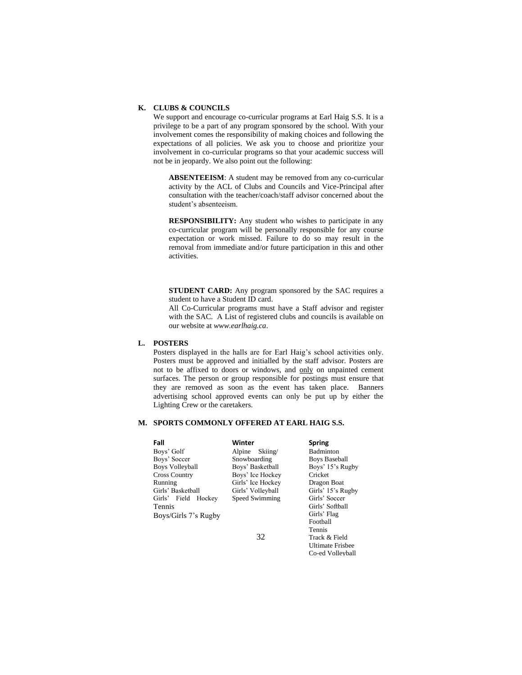### **K. CLUBS & COUNCILS**

We support and encourage co-curricular programs at Earl Haig S.S. It is a privilege to be a part of any program sponsored by the school. With your involvement comes the responsibility of making choices and following the expectations of all policies. We ask you to choose and prioritize your involvement in co-curricular programs so that your academic success will not be in jeopardy. We also point out the following:

**ABSENTEEISM**: A student may be removed from any co-curricular activity by the ACL of Clubs and Councils and Vice-Principal after consultation with the teacher/coach/staff advisor concerned about the student's absenteeism.

**RESPONSIBILITY:** Any student who wishes to participate in any co-curricular program will be personally responsible for any course expectation or work missed. Failure to do so may result in the removal from immediate and/or future participation in this and other activities.

**STUDENT CARD:** Any program sponsored by the SAC requires a student to have a Student ID card.

All Co-Curricular programs must have a Staff advisor and register with the SAC. A List of registered clubs and councils is available on our website at *www.earlhaig.ca*.

## **L. POSTERS**

Posters displayed in the halls are for Earl Haig's school activities only. Posters must be approved and initialled by the staff advisor. Posters are not to be affixed to doors or windows, and only on unpainted cement surfaces. The person or group responsible for postings must ensure that they are removed as soon as the event has taken place. Banners advertising school approved events can only be put up by either the Lighting Crew or the caretakers.

### **M. SPORTS COMMONLY OFFERED AT EARL HAIG S.S.**

| Fall                   | Winter            | <b>Spring</b>        |
|------------------------|-------------------|----------------------|
| Boys' Golf             | $\chi$<br>Alpine  | <b>Badminton</b>     |
| Boys' Soccer           | Snowboarding      | <b>Boys Baseball</b> |
| <b>Boys Volleyball</b> | Boys' Basketball  | Boys' 15's Rugby     |
| <b>Cross Country</b>   | Boys' Ice Hockey  | Cricket              |
| Running                | Girls' Ice Hockey | Dragon Boat          |
| Girls' Basketball      | Girls' Volleyball | Girls' 15's Rugby    |
| Girls' Field Hockey    | Speed Swimming    | Girls' Soccer        |
| <b>Tennis</b>          |                   | Girls' Softball      |
| Boys/Girls 7's Rugby   |                   | Girls' Flag          |
|                        |                   | Football             |
|                        |                   | Tennis               |

32

Track & Field Ultimate Frisbee Co-ed Volleyball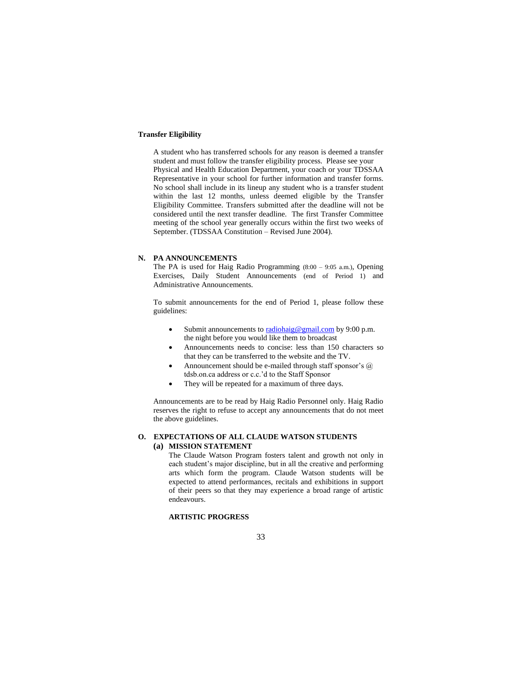### **Transfer Eligibility**

A student who has transferred schools for any reason is deemed a transfer student and must follow the transfer eligibility process. Please see your Physical and Health Education Department, your coach or your TDSSAA Representative in your school for further information and transfer forms. No school shall include in its lineup any student who is a transfer student within the last 12 months, unless deemed eligible by the Transfer Eligibility Committee. Transfers submitted after the deadline will not be considered until the next transfer deadline. The first Transfer Committee meeting of the school year generally occurs within the first two weeks of September. (TDSSAA Constitution – Revised June 2004).

### **N. PA ANNOUNCEMENTS**

The PA is used for Haig Radio Programming (8:00 – 9:05 a.m.), Opening Exercises, Daily Student Announcements (end of Period 1) and Administrative Announcements.

To submit announcements for the end of Period 1, please follow these guidelines:

- Submit announcements t[o radiohaig@gmail.com](mailto:radiohaig@gmail.com) by 9:00 p.m. the night before you would like them to broadcast
- Announcements needs to concise: less than 150 characters so that they can be transferred to the website and the TV.
- Announcement should be e-mailed through staff sponsor's @ tdsb.on.ca address or c.c.'d to the Staff Sponsor
- They will be repeated for a maximum of three days.

Announcements are to be read by Haig Radio Personnel only. Haig Radio reserves the right to refuse to accept any announcements that do not meet the above guidelines.

# **O. EXPECTATIONS OF ALL CLAUDE WATSON STUDENTS**

## **(a) MISSION STATEMENT**

The Claude Watson Program fosters talent and growth not only in each student's major discipline, but in all the creative and performing arts which form the program. Claude Watson students will be expected to attend performances, recitals and exhibitions in support of their peers so that they may experience a broad range of artistic endeavours.

#### **ARTISTIC PROGRESS**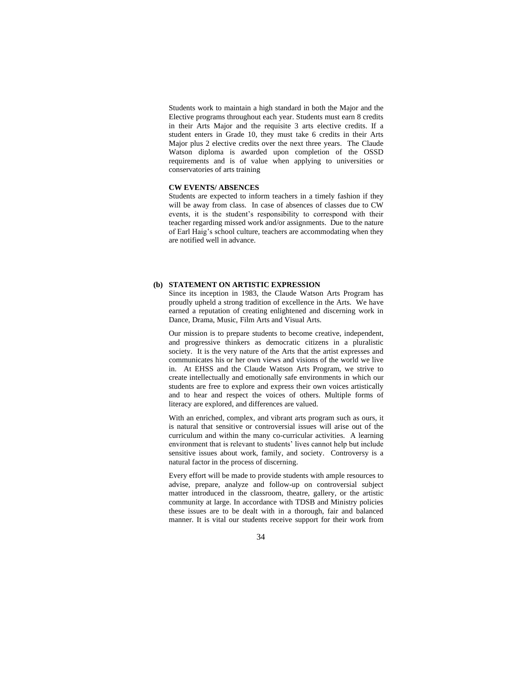Students work to maintain a high standard in both the Major and the Elective programs throughout each year. Students must earn 8 credits in their Arts Major and the requisite 3 arts elective credits. If a student enters in Grade 10, they must take 6 credits in their Arts Major plus 2 elective credits over the next three years. The Claude Watson diploma is awarded upon completion of the OSSD requirements and is of value when applying to universities or conservatories of arts training

### **CW EVENTS/ ABSENCES**

Students are expected to inform teachers in a timely fashion if they will be away from class. In case of absences of classes due to CW events, it is the student's responsibility to correspond with their teacher regarding missed work and/or assignments. Due to the nature of Earl Haig's school culture, teachers are accommodating when they are notified well in advance.

### **(b) STATEMENT ON ARTISTIC EXPRESSION**

Since its inception in 1983, the Claude Watson Arts Program has proudly upheld a strong tradition of excellence in the Arts. We have earned a reputation of creating enlightened and discerning work in Dance, Drama, Music, Film Arts and Visual Arts.

Our mission is to prepare students to become creative, independent, and progressive thinkers as democratic citizens in a pluralistic society. It is the very nature of the Arts that the artist expresses and communicates his or her own views and visions of the world we live in. At EHSS and the Claude Watson Arts Program, we strive to create intellectually and emotionally safe environments in which our students are free to explore and express their own voices artistically and to hear and respect the voices of others. Multiple forms of literacy are explored, and differences are valued.

With an enriched, complex, and vibrant arts program such as ours, it is natural that sensitive or controversial issues will arise out of the curriculum and within the many co-curricular activities. A learning environment that is relevant to students' lives cannot help but include sensitive issues about work, family, and society. Controversy is a natural factor in the process of discerning.

Every effort will be made to provide students with ample resources to advise, prepare, analyze and follow-up on controversial subject matter introduced in the classroom, theatre, gallery, or the artistic community at large. In accordance with TDSB and Ministry policies these issues are to be dealt with in a thorough, fair and balanced manner. It is vital our students receive support for their work from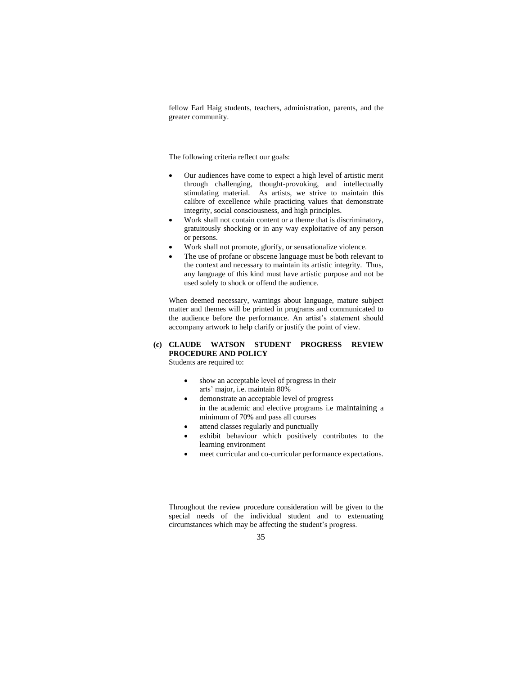fellow Earl Haig students, teachers, administration, parents, and the greater community.

The following criteria reflect our goals:

- Our audiences have come to expect a high level of artistic merit through challenging, thought-provoking, and intellectually stimulating material. As artists, we strive to maintain this calibre of excellence while practicing values that demonstrate integrity, social consciousness, and high principles.
- Work shall not contain content or a theme that is discriminatory, gratuitously shocking or in any way exploitative of any person or persons.
- Work shall not promote, glorify, or sensationalize violence.
- The use of profane or obscene language must be both relevant to the context and necessary to maintain its artistic integrity. Thus, any language of this kind must have artistic purpose and not be used solely to shock or offend the audience.

When deemed necessary, warnings about language, mature subject matter and themes will be printed in programs and communicated to the audience before the performance. An artist's statement should accompany artwork to help clarify or justify the point of view.

## **(c) CLAUDE WATSON STUDENT PROGRESS REVIEW PROCEDURE AND POLICY**

Students are required to:

- show an acceptable level of progress in their arts' major, i.e. maintain 80%
- demonstrate an acceptable level of progress in the academic and elective programs i.e maintaining a minimum of 70% and pass all courses
- attend classes regularly and punctually
- exhibit behaviour which positively contributes to the learning environment
- meet curricular and co-curricular performance expectations.

Throughout the review procedure consideration will be given to the special needs of the individual student and to extenuating circumstances which may be affecting the student's progress.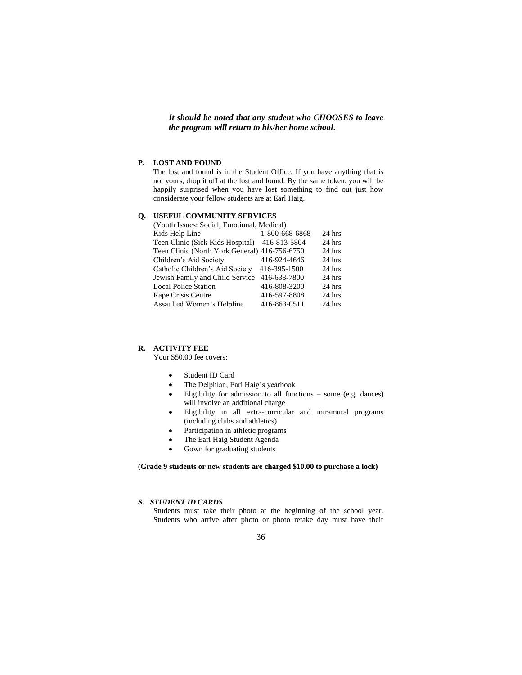*It should be noted that any student who CHOOSES to leave the program will return to his/her home school***.**

#### **P. LOST AND FOUND**

The lost and found is in the Student Office. If you have anything that is not yours, drop it off at the lost and found. By the same token, you will be happily surprised when you have lost something to find out just how considerate your fellow students are at Earl Haig.

## **Q. USEFUL COMMUNITY SERVICES**

| (Youth Issues: Social, Emotional, Medical)    |                |          |  |  |  |
|-----------------------------------------------|----------------|----------|--|--|--|
| Kids Help Line                                | 1-800-668-6868 | 24 hrs   |  |  |  |
| Teen Clinic (Sick Kids Hospital) 416-813-5804 |                | $24$ hrs |  |  |  |
| Teen Clinic (North York General) 416-756-6750 |                | 24 hrs   |  |  |  |
| Children's Aid Society                        | 416-924-4646   | $24$ hrs |  |  |  |
| Catholic Children's Aid Society               | 416-395-1500   | $24$ hrs |  |  |  |
| Jewish Family and Child Service               | 416-638-7800   | $24$ hrs |  |  |  |
| <b>Local Police Station</b>                   | 416-808-3200   | $24$ hrs |  |  |  |
| Rape Crisis Centre                            | 416-597-8808   | $24$ hrs |  |  |  |
| Assaulted Women's Helpline                    | 416-863-0511   | 24 hrs   |  |  |  |

#### **R. ACTIVITY FEE**

Your \$50.00 fee covers:

- Student ID Card
- The Delphian, Earl Haig's yearbook
- Eligibility for admission to all functions some (e.g. dances) will involve an additional charge
- Eligibility in all extra-curricular and intramural programs (including clubs and athletics)
- Participation in athletic programs
- The Earl Haig Student Agenda
- Gown for graduating students

### **(Grade 9 students or new students are charged \$10.00 to purchase a lock)**

#### *S. STUDENT ID CARDS*

Students must take their photo at the beginning of the school year. Students who arrive after photo or photo retake day must have their